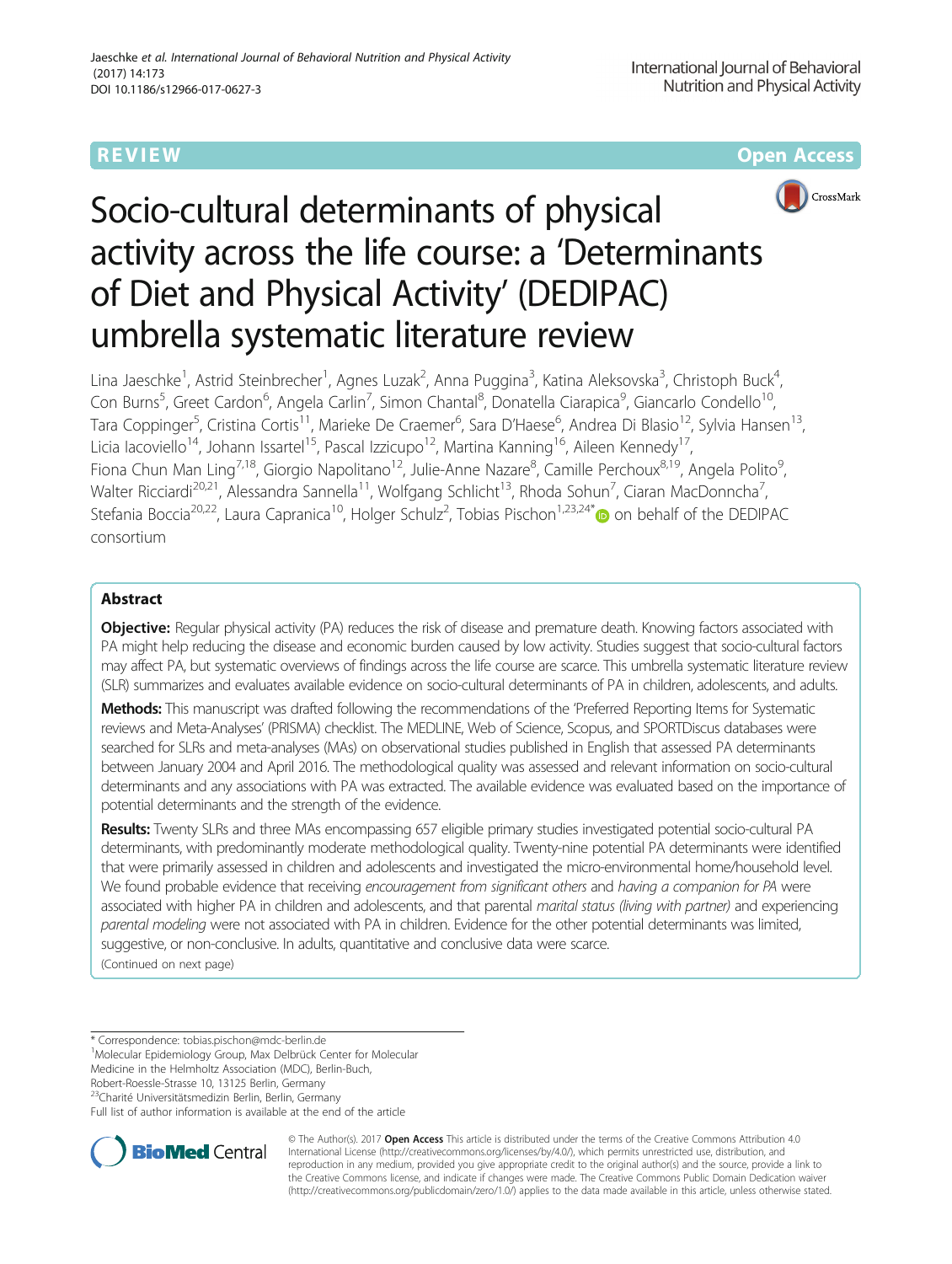**REVIEW CONSIDERING CONSIDERING CONSIDERING CONSIDERING CONSIDERING CONSIDERING CONSIDERING CONSIDERING CONSIDERING CONSIDERING CONSIDERING CONSIDERING CONSIDERING CONSIDERING CONSIDERING CONSIDERING CONSIDERING CONSIDER** 



# Socio-cultural determinants of physical activity across the life course: a 'Determinants of Diet and Physical Activity' (DEDIPAC) umbrella systematic literature review

Lina Jaeschke<sup>1</sup>, Astrid Steinbrecher<sup>1</sup>, Agnes Luzak<sup>2</sup>, Anna Puggina<sup>3</sup>, Katina Aleksovska<sup>3</sup>, Christoph Buck<sup>4</sup> , Con Burns<sup>5</sup>, Greet Cardon<sup>6</sup>, Angela Carlin<sup>7</sup>, Simon Chantal<sup>8</sup>, Donatella Ciarapica<sup>9</sup>, Giancarlo Condello<sup>10</sup>, Tara Coppinger<sup>5</sup>, Cristina Cortis<sup>11</sup>, Marieke De Craemer<sup>6</sup>, Sara D'Haese<sup>6</sup>, Andrea Di Blasio<sup>12</sup>, Sylvia Hansen<sup>13</sup>, Licia Iacoviello<sup>14</sup>, Johann Issartel<sup>15</sup>, Pascal Izzicupo<sup>12</sup>, Martina Kanning<sup>16</sup>, Aileen Kennedy<sup>17</sup> Fiona Chun Man Ling<sup>7,18</sup>, Giorgio Napolitano<sup>12</sup>, Julie-Anne Nazare<sup>8</sup>, Camille Perchoux<sup>8,19</sup>, Angela Polito<sup>s</sup> , Walter Ricciardi<sup>20,21</sup>, Alessandra Sannella<sup>11</sup>, Wolfgang Schlicht<sup>13</sup>, Rhoda Sohun<sup>7</sup>, Ciaran MacDonncha<sup>7</sup> , Stefania Boccia<sup>20,22</sup>, Laura Capranica<sup>10</sup>, Holger Schulz<sup>2</sup>, Tobias Pischon<sup>1,23,24\*</sup> on behalf of the DEDIPAC consortium

# Abstract

Objective: Regular physical activity (PA) reduces the risk of disease and premature death. Knowing factors associated with PA might help reducing the disease and economic burden caused by low activity. Studies suggest that socio-cultural factors may affect PA, but systematic overviews of findings across the life course are scarce. This umbrella systematic literature review (SLR) summarizes and evaluates available evidence on socio-cultural determinants of PA in children, adolescents, and adults.

Methods: This manuscript was drafted following the recommendations of the 'Preferred Reporting Items for Systematic reviews and Meta-Analyses' (PRISMA) checklist. The MEDLINE, Web of Science, Scopus, and SPORTDiscus databases were searched for SLRs and meta-analyses (MAs) on observational studies published in English that assessed PA determinants between January 2004 and April 2016. The methodological quality was assessed and relevant information on socio-cultural determinants and any associations with PA was extracted. The available evidence was evaluated based on the importance of potential determinants and the strength of the evidence.

Results: Twenty SLRs and three MAs encompassing 657 eligible primary studies investigated potential socio-cultural PA determinants, with predominantly moderate methodological quality. Twenty-nine potential PA determinants were identified that were primarily assessed in children and adolescents and investigated the micro-environmental home/household level. We found probable evidence that receiving encouragement from significant others and having a companion for PA were associated with higher PA in children and adolescents, and that parental marital status (living with partner) and experiencing parental modeling were not associated with PA in children. Evidence for the other potential determinants was limited, suggestive, or non-conclusive. In adults, quantitative and conclusive data were scarce.

(Continued on next page)

Robert-Roessle-Strasse 10, 13125 Berlin, Germany

Full list of author information is available at the end of the article



© The Author(s). 2017 **Open Access** This article is distributed under the terms of the Creative Commons Attribution 4.0 International License [\(http://creativecommons.org/licenses/by/4.0/](http://creativecommons.org/licenses/by/4.0/)), which permits unrestricted use, distribution, and reproduction in any medium, provided you give appropriate credit to the original author(s) and the source, provide a link to the Creative Commons license, and indicate if changes were made. The Creative Commons Public Domain Dedication waiver [\(http://creativecommons.org/publicdomain/zero/1.0/](http://creativecommons.org/publicdomain/zero/1.0/)) applies to the data made available in this article, unless otherwise stated.

<sup>\*</sup> Correspondence: [tobias.pischon@mdc-berlin.de](mailto:tobias.pischon@mdc-berlin.de) <sup>1</sup>

<sup>&</sup>lt;sup>1</sup>Molecular Epidemiology Group, Max Delbrück Center for Molecular

Medicine in the Helmholtz Association (MDC), Berlin-Buch,

<sup>&</sup>lt;sup>23</sup>Charité Universitätsmedizin Berlin, Berlin, Germany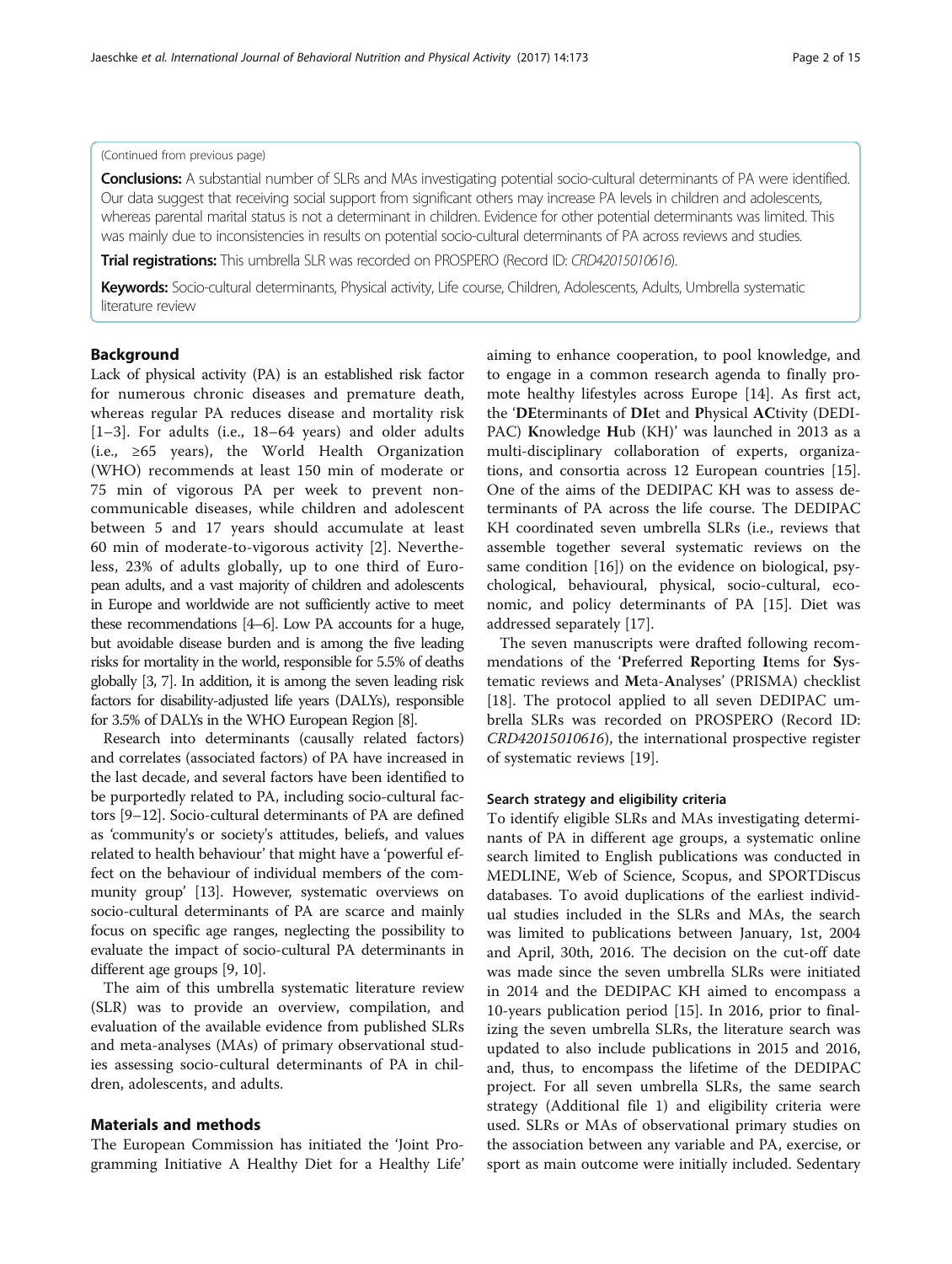## (Continued from previous page)

**Conclusions:** A substantial number of SLRs and MAs investigating potential socio-cultural determinants of PA were identified. Our data suggest that receiving social support from significant others may increase PA levels in children and adolescents, whereas parental marital status is not a determinant in children. Evidence for other potential determinants was limited. This was mainly due to inconsistencies in results on potential socio-cultural determinants of PA across reviews and studies.

Trial registrations: This umbrella SLR was recorded on PROSPERO (Record ID: [CRD42015010616](http://www.crd.york.ac.uk/PROSPERO/display_record.php?ID=CRD42015010616)).

Keywords: Socio-cultural determinants, Physical activity, Life course, Children, Adolescents, Adults, Umbrella systematic literature review

## Background

Lack of physical activity (PA) is an established risk factor for numerous chronic diseases and premature death, whereas regular PA reduces disease and mortality risk [[1](#page-13-0)–[3\]](#page-13-0). For adults (i.e., 18–64 years) and older adults (i.e., ≥65 years), the World Health Organization (WHO) recommends at least 150 min of moderate or 75 min of vigorous PA per week to prevent noncommunicable diseases, while children and adolescent between 5 and 17 years should accumulate at least 60 min of moderate-to-vigorous activity [\[2](#page-13-0)]. Nevertheless, 23% of adults globally, up to one third of European adults, and a vast majority of children and adolescents in Europe and worldwide are not sufficiently active to meet these recommendations [\[4](#page-13-0)–[6](#page-13-0)]. Low PA accounts for a huge, but avoidable disease burden and is among the five leading risks for mortality in the world, responsible for 5.5% of deaths globally [[3](#page-13-0), [7\]](#page-13-0). In addition, it is among the seven leading risk factors for disability-adjusted life years (DALYs), responsible for 3.5% of DALYs in the WHO European Region [\[8](#page-13-0)].

Research into determinants (causally related factors) and correlates (associated factors) of PA have increased in the last decade, and several factors have been identified to be purportedly related to PA, including socio-cultural factors [\[9](#page-13-0)–[12](#page-13-0)]. Socio-cultural determinants of PA are defined as 'community's or society's attitudes, beliefs, and values related to health behaviour' that might have a 'powerful effect on the behaviour of individual members of the community group' [[13\]](#page-13-0). However, systematic overviews on socio-cultural determinants of PA are scarce and mainly focus on specific age ranges, neglecting the possibility to evaluate the impact of socio-cultural PA determinants in different age groups [\[9, 10](#page-13-0)].

The aim of this umbrella systematic literature review (SLR) was to provide an overview, compilation, and evaluation of the available evidence from published SLRs and meta-analyses (MAs) of primary observational studies assessing socio-cultural determinants of PA in children, adolescents, and adults.

# Materials and methods

The European Commission has initiated the 'Joint Programming Initiative A Healthy Diet for a Healthy Life'

aiming to enhance cooperation, to pool knowledge, and to engage in a common research agenda to finally promote healthy lifestyles across Europe [\[14\]](#page-13-0). As first act, the 'DEterminants of DIet and Physical ACtivity (DEDI-PAC) Knowledge Hub (KH)' was launched in 2013 as a multi-disciplinary collaboration of experts, organizations, and consortia across 12 European countries [\[15](#page-13-0)]. One of the aims of the DEDIPAC KH was to assess determinants of PA across the life course. The DEDIPAC KH coordinated seven umbrella SLRs (i.e., reviews that assemble together several systematic reviews on the same condition [[16](#page-13-0)]) on the evidence on biological, psychological, behavioural, physical, socio-cultural, economic, and policy determinants of PA [\[15](#page-13-0)]. Diet was addressed separately [\[17](#page-13-0)].

The seven manuscripts were drafted following recommendations of the 'Preferred Reporting Items for Systematic reviews and Meta-Analyses' (PRISMA) checklist [[18\]](#page-13-0). The protocol applied to all seven DEDIPAC umbrella SLRs was recorded on PROSPERO (Record ID: CRD42015010616), the international prospective register of systematic reviews [\[19\]](#page-13-0).

## Search strategy and eligibility criteria

To identify eligible SLRs and MAs investigating determinants of PA in different age groups, a systematic online search limited to English publications was conducted in MEDLINE, Web of Science, Scopus, and SPORTDiscus databases. To avoid duplications of the earliest individual studies included in the SLRs and MAs, the search was limited to publications between January, 1st, 2004 and April, 30th, 2016. The decision on the cut-off date was made since the seven umbrella SLRs were initiated in 2014 and the DEDIPAC KH aimed to encompass a 10-years publication period [[15\]](#page-13-0). In 2016, prior to finalizing the seven umbrella SLRs, the literature search was updated to also include publications in 2015 and 2016, and, thus, to encompass the lifetime of the DEDIPAC project. For all seven umbrella SLRs, the same search strategy (Additional file [1](#page-12-0)) and eligibility criteria were used. SLRs or MAs of observational primary studies on the association between any variable and PA, exercise, or sport as main outcome were initially included. Sedentary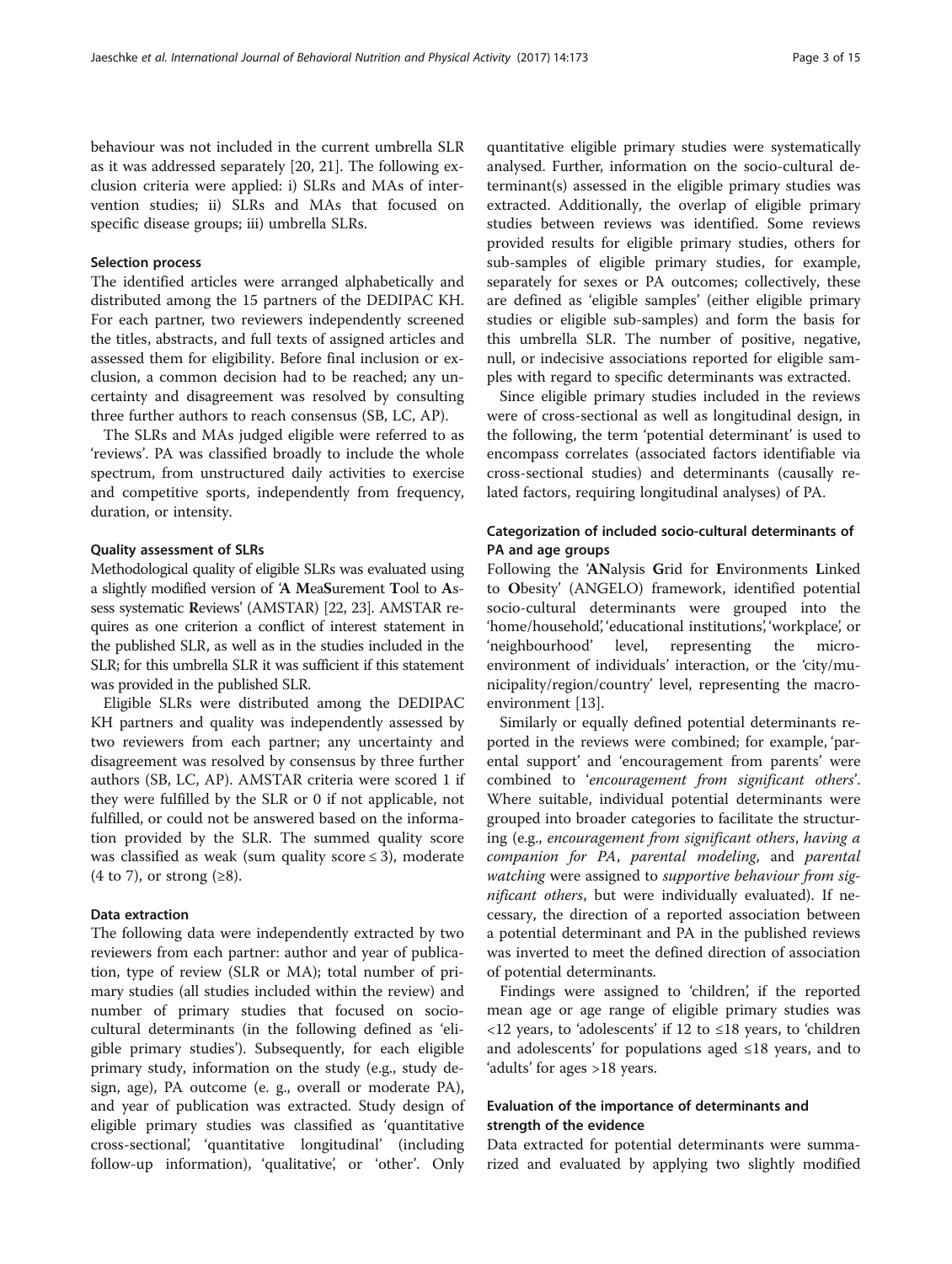behaviour was not included in the current umbrella SLR as it was addressed separately [[20](#page-13-0), [21](#page-13-0)]. The following exclusion criteria were applied: i) SLRs and MAs of intervention studies; ii) SLRs and MAs that focused on specific disease groups; iii) umbrella SLRs.

## Selection process

The identified articles were arranged alphabetically and distributed among the 15 partners of the DEDIPAC KH. For each partner, two reviewers independently screened the titles, abstracts, and full texts of assigned articles and assessed them for eligibility. Before final inclusion or exclusion, a common decision had to be reached; any uncertainty and disagreement was resolved by consulting three further authors to reach consensus (SB, LC, AP).

The SLRs and MAs judged eligible were referred to as 'reviews'. PA was classified broadly to include the whole spectrum, from unstructured daily activities to exercise and competitive sports, independently from frequency, duration, or intensity.

## Quality assessment of SLRs

Methodological quality of eligible SLRs was evaluated using a slightly modified version of 'A MeaSurement Tool to Assess systematic Reviews' (AMSTAR) [[22, 23](#page-13-0)]. AMSTAR requires as one criterion a conflict of interest statement in the published SLR, as well as in the studies included in the SLR; for this umbrella SLR it was sufficient if this statement was provided in the published SLR.

Eligible SLRs were distributed among the DEDIPAC KH partners and quality was independently assessed by two reviewers from each partner; any uncertainty and disagreement was resolved by consensus by three further authors (SB, LC, AP). AMSTAR criteria were scored 1 if they were fulfilled by the SLR or 0 if not applicable, not fulfilled, or could not be answered based on the information provided by the SLR. The summed quality score was classified as weak (sum quality score  $\leq$  3), moderate  $(4 \text{ to } 7)$ , or strong  $(≥8)$ .

## Data extraction

The following data were independently extracted by two reviewers from each partner: author and year of publication, type of review (SLR or MA); total number of primary studies (all studies included within the review) and number of primary studies that focused on sociocultural determinants (in the following defined as 'eligible primary studies'). Subsequently, for each eligible primary study, information on the study (e.g., study design, age), PA outcome (e. g., overall or moderate PA), and year of publication was extracted. Study design of eligible primary studies was classified as 'quantitative cross-sectional', 'quantitative longitudinal' (including follow-up information), 'qualitative', or 'other'. Only quantitative eligible primary studies were systematically analysed. Further, information on the socio-cultural determinant(s) assessed in the eligible primary studies was extracted. Additionally, the overlap of eligible primary studies between reviews was identified. Some reviews provided results for eligible primary studies, others for sub-samples of eligible primary studies, for example, separately for sexes or PA outcomes; collectively, these are defined as 'eligible samples' (either eligible primary studies or eligible sub-samples) and form the basis for this umbrella SLR. The number of positive, negative, null, or indecisive associations reported for eligible samples with regard to specific determinants was extracted.

Since eligible primary studies included in the reviews were of cross-sectional as well as longitudinal design, in the following, the term 'potential determinant' is used to encompass correlates (associated factors identifiable via cross-sectional studies) and determinants (causally related factors, requiring longitudinal analyses) of PA.

# Categorization of included socio-cultural determinants of PA and age groups

Following the 'ANalysis Grid for Environments Linked to Obesity' (ANGELO) framework, identified potential socio-cultural determinants were grouped into the 'home/household', 'educational institutions', 'workplace', or 'neighbourhood' level, representing the microenvironment of individuals' interaction, or the 'city/municipality/region/country' level, representing the macroenvironment [\[13\]](#page-13-0).

Similarly or equally defined potential determinants reported in the reviews were combined; for example, 'parental support' and 'encouragement from parents' were combined to 'encouragement from significant others'. Where suitable, individual potential determinants were grouped into broader categories to facilitate the structuring (e.g., encouragement from significant others, having a companion for PA, parental modeling, and parental watching were assigned to supportive behaviour from significant others, but were individually evaluated). If necessary, the direction of a reported association between a potential determinant and PA in the published reviews was inverted to meet the defined direction of association of potential determinants.

Findings were assigned to 'children', if the reported mean age or age range of eligible primary studies was <12 years, to 'adolescents' if 12 to ≤18 years, to 'children and adolescents' for populations aged ≤18 years, and to 'adults' for ages >18 years.

## Evaluation of the importance of determinants and strength of the evidence

Data extracted for potential determinants were summarized and evaluated by applying two slightly modified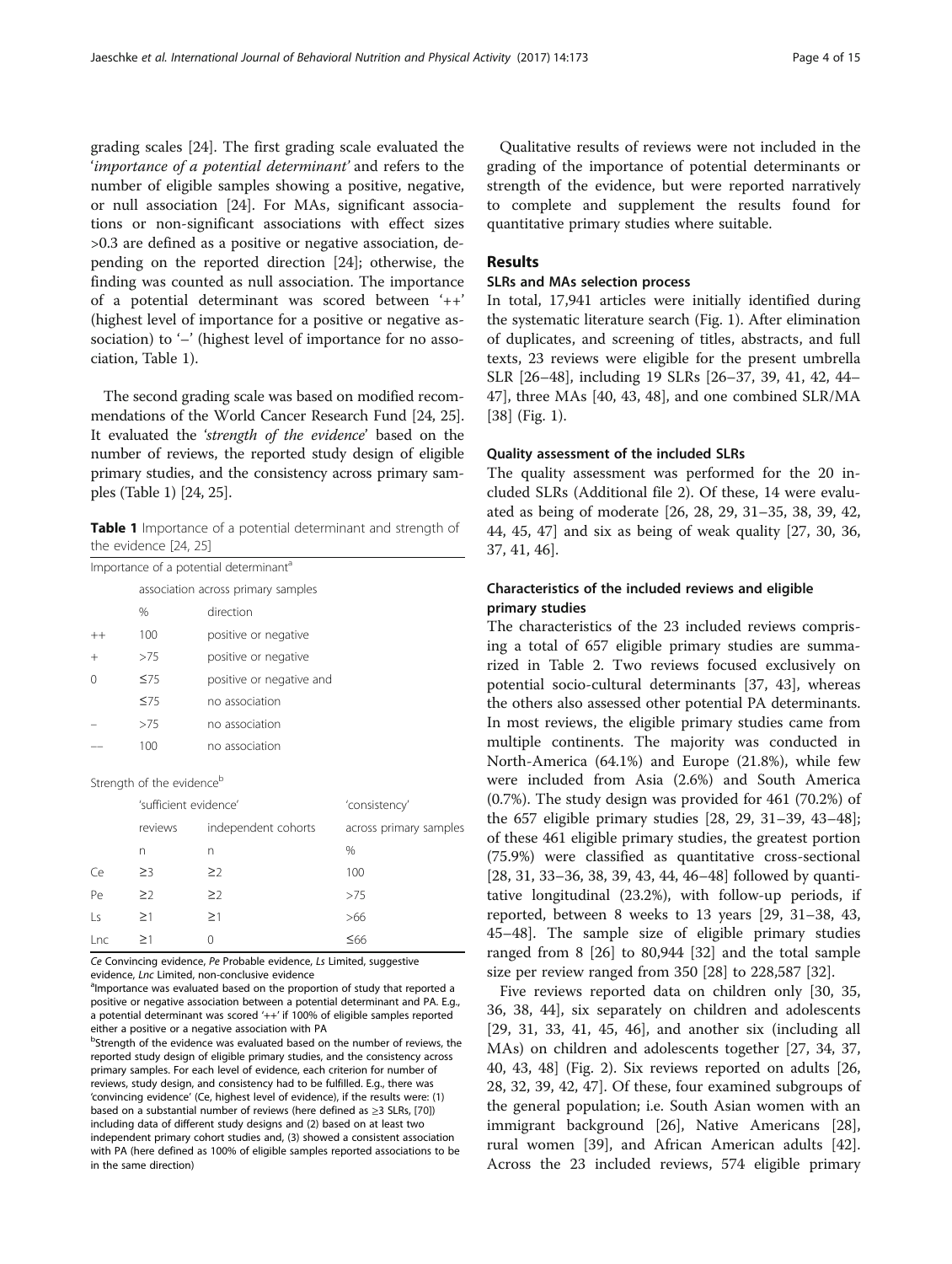grading scales [[24\]](#page-13-0). The first grading scale evaluated the 'importance of a potential determinant' and refers to the number of eligible samples showing a positive, negative, or null association [[24](#page-13-0)]. For MAs, significant associations or non-significant associations with effect sizes >0.3 are defined as a positive or negative association, depending on the reported direction [[24](#page-13-0)]; otherwise, the finding was counted as null association. The importance of a potential determinant was scored between '++' (highest level of importance for a positive or negative association) to '–' (highest level of importance for no association, Table 1).

The second grading scale was based on modified recommendations of the World Cancer Research Fund [[24](#page-13-0), [25](#page-13-0)]. It evaluated the 'strength of the evidence' based on the number of reviews, the reported study design of eligible primary studies, and the consistency across primary samples (Table 1) [\[24, 25\]](#page-13-0).

Table 1 Importance of a potential determinant and strength of the evidence [[24](#page-13-0), [25](#page-13-0)]

|         |           | Importance of a potential determinant <sup>a</sup> |
|---------|-----------|----------------------------------------------------|
|         |           | association across primary samples                 |
|         | $\%$      | direction                                          |
| $^{++}$ | 100       | positive or negative                               |
| $^{+}$  | >75       | positive or negative                               |
|         | $\leq 75$ | positive or negative and                           |
|         | $\leq 75$ | no association                                     |
|         | >75       | no association                                     |
|         | 100       | no association                                     |

Strength of the evidence<sup>b</sup>

|           | 'sufficient evidence' |                     | 'consistency'          |
|-----------|-----------------------|---------------------|------------------------|
|           | reviews               | independent cohorts | across primary samples |
|           | n                     | n                   | %                      |
| Ce        | $\geq$ 3              | $\geq$              | 100                    |
| Pe        | $\geq$                | $\geq$              | >75                    |
| $\vert$ s | >1                    | $\geq$ 1            | >66                    |
| Lnc       | >1                    |                     | $\leq 66$              |

Ce Convincing evidence, Pe Probable evidence, Ls Limited, suggestive evidence, *Lnc* Limited, non-conclusive evidence

<sup>a</sup>Importance was evaluated based on the proportion of study that reported a positive or negative association between a potential determinant and PA. E.g., a potential determinant was scored '++' if 100% of eligible samples reported either a positive or a negative association with PA

<sup>b</sup>Strength of the evidence was evaluated based on the number of reviews, the reported study design of eligible primary studies, and the consistency across primary samples. For each level of evidence, each criterion for number of reviews, study design, and consistency had to be fulfilled. E.g., there was 'convincing evidence' (Ce, highest level of evidence), if the results were: (1) based on a substantial number of reviews (here defined as ≥3 SLRs, [\[70](#page-14-0)]) including data of different study designs and (2) based on at least two independent primary cohort studies and, (3) showed a consistent association with PA (here defined as 100% of eligible samples reported associations to be in the same direction)

Qualitative results of reviews were not included in the grading of the importance of potential determinants or strength of the evidence, but were reported narratively to complete and supplement the results found for quantitative primary studies where suitable.

## Results

## SLRs and MAs selection process

In total, 17,941 articles were initially identified during the systematic literature search (Fig. [1](#page-4-0)). After elimination of duplicates, and screening of titles, abstracts, and full texts, 23 reviews were eligible for the present umbrella SLR [\[26](#page-13-0)–[48\]](#page-14-0), including 19 SLRs [[26](#page-13-0)–[37](#page-13-0), [39, 41, 42](#page-14-0), [44](#page-14-0)– [47\]](#page-14-0), three MAs [[40](#page-14-0), [43, 48\]](#page-14-0), and one combined SLR/MA [[38\]](#page-13-0) (Fig. [1](#page-4-0)).

## Quality assessment of the included SLRs

The quality assessment was performed for the 20 included SLRs (Additional file [2](#page-12-0)). Of these, 14 were evaluated as being of moderate [[26, 28](#page-13-0), [29](#page-13-0), [31](#page-13-0)–[35](#page-13-0), [38,](#page-13-0) [39](#page-14-0), [42](#page-14-0), [44, 45](#page-14-0), [47\]](#page-14-0) and six as being of weak quality [\[27, 30, 36](#page-13-0), [37,](#page-13-0) [41](#page-14-0), [46](#page-14-0)].

## Characteristics of the included reviews and eligible primary studies

The characteristics of the 23 included reviews comprising a total of 657 eligible primary studies are summarized in Table [2.](#page-5-0) Two reviews focused exclusively on potential socio-cultural determinants [[37](#page-13-0), [43](#page-14-0)], whereas the others also assessed other potential PA determinants. In most reviews, the eligible primary studies came from multiple continents. The majority was conducted in North-America (64.1%) and Europe (21.8%), while few were included from Asia (2.6%) and South America (0.7%). The study design was provided for 461 (70.2%) of the 657 eligible primary studies [\[28](#page-13-0), [29, 31](#page-13-0)–[39, 43](#page-14-0)–[48](#page-14-0)]; of these 461 eligible primary studies, the greatest portion (75.9%) were classified as quantitative cross-sectional [[28, 31, 33](#page-13-0)–[36](#page-13-0), [38,](#page-13-0) [39, 43, 44](#page-14-0), [46](#page-14-0)–[48\]](#page-14-0) followed by quantitative longitudinal (23.2%), with follow-up periods, if reported, between 8 weeks to 13 years [\[29, 31](#page-13-0)–[38,](#page-13-0) [43](#page-14-0), [45](#page-14-0)–[48](#page-14-0)]. The sample size of eligible primary studies ranged from 8 [\[26](#page-13-0)] to 80,944 [\[32\]](#page-13-0) and the total sample size per review ranged from 350 [[28\]](#page-13-0) to 228,587 [[32](#page-13-0)].

Five reviews reported data on children only [[30, 35](#page-13-0), [36, 38](#page-13-0), [44\]](#page-14-0), six separately on children and adolescents [[29, 31](#page-13-0), [33](#page-13-0), [41, 45](#page-14-0), [46](#page-14-0)], and another six (including all MAs) on children and adolescents together [[27, 34](#page-13-0), [37](#page-13-0), [40, 43, 48\]](#page-14-0) (Fig. [2\)](#page-7-0). Six reviews reported on adults [[26](#page-13-0), [28, 32,](#page-13-0) [39, 42, 47\]](#page-14-0). Of these, four examined subgroups of the general population; i.e. South Asian women with an immigrant background [\[26](#page-13-0)], Native Americans [\[28](#page-13-0)], rural women [\[39](#page-14-0)], and African American adults [\[42](#page-14-0)]. Across the 23 included reviews, 574 eligible primary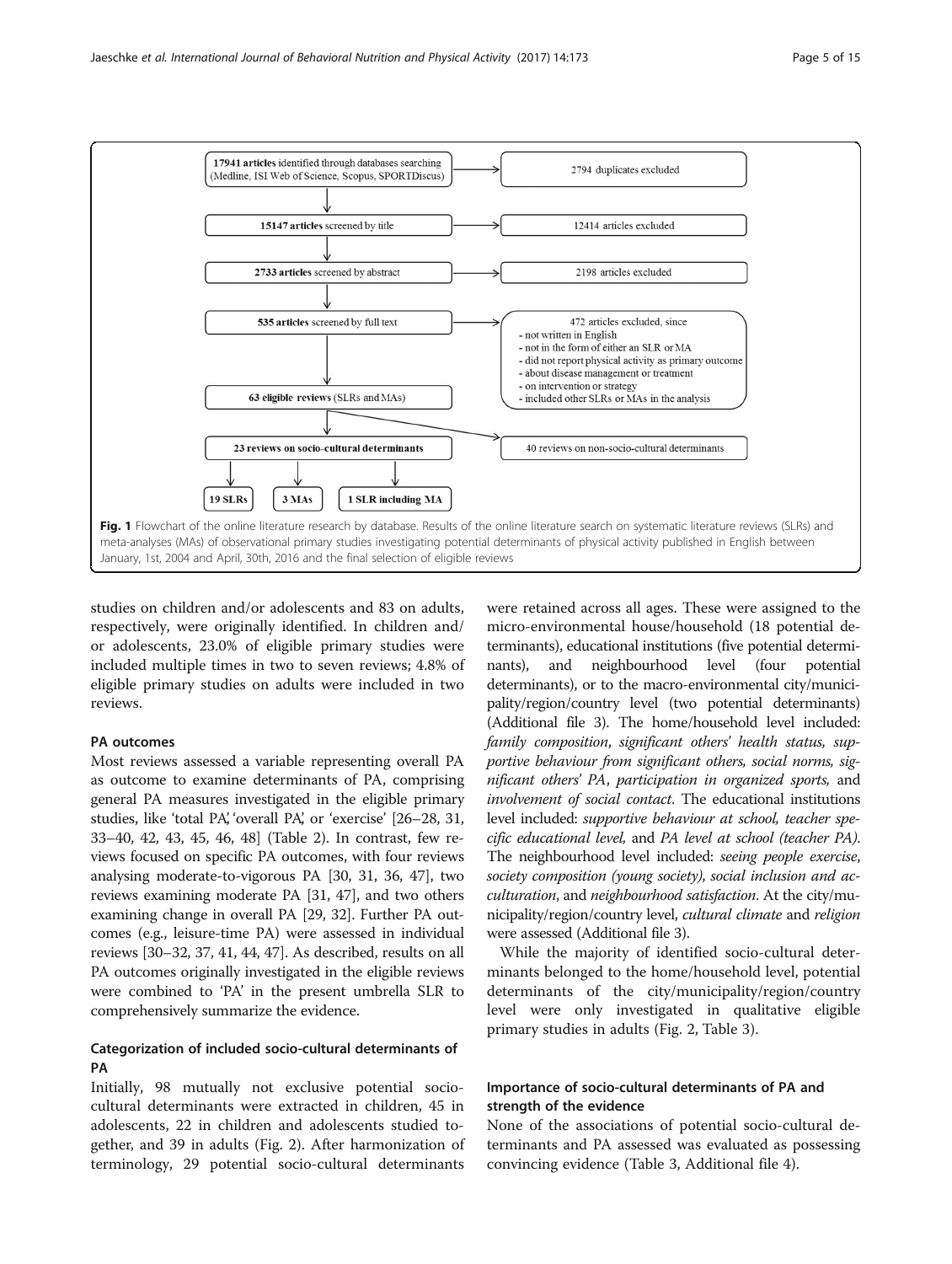<span id="page-4-0"></span>

meta-analyses (MAs) of observational primary studies investigating potential determinants of physical activity published in English between January, 1st, 2004 and April, 30th, 2016 and the final selection of eligible reviews

studies on children and/or adolescents and 83 on adults, respectively, were originally identified. In children and/ or adolescents, 23.0% of eligible primary studies were included multiple times in two to seven reviews; 4.8% of eligible primary studies on adults were included in two reviews.

# PA outcomes

Most reviews assessed a variable representing overall PA as outcome to examine determinants of PA, comprising general PA measures investigated in the eligible primary studies, like 'total PA', 'overall PA', or 'exercise' [\[26](#page-13-0)–[28](#page-13-0), [31](#page-13-0), [33](#page-13-0)–[40, 42, 43](#page-14-0), [45, 46, 48](#page-14-0)] (Table [2\)](#page-5-0). In contrast, few reviews focused on specific PA outcomes, with four reviews analysing moderate-to-vigorous PA [\[30, 31](#page-13-0), [36](#page-13-0), [47](#page-14-0)], two reviews examining moderate PA [\[31,](#page-13-0) [47\]](#page-14-0), and two others examining change in overall PA [\[29, 32\]](#page-13-0). Further PA outcomes (e.g., leisure-time PA) were assessed in individual reviews [\[30](#page-13-0)–[32](#page-13-0), [37,](#page-13-0) [41](#page-14-0), [44, 47](#page-14-0)]. As described, results on all PA outcomes originally investigated in the eligible reviews were combined to 'PA' in the present umbrella SLR to comprehensively summarize the evidence.

# Categorization of included socio-cultural determinants of PA

Initially, 98 mutually not exclusive potential sociocultural determinants were extracted in children, 45 in adolescents, 22 in children and adolescents studied together, and 39 in adults (Fig. [2\)](#page-7-0). After harmonization of terminology, 29 potential socio-cultural determinants were retained across all ages. These were assigned to the micro-environmental house/household (18 potential determinants), educational institutions (five potential determinants), and neighbourhood level (four potential determinants), or to the macro-environmental city/municipality/region/country level (two potential determinants) (Additional file [3](#page-12-0)). The home/household level included: family composition, significant others' health status, supportive behaviour from significant others, social norms, significant others' PA, participation in organized sports, and involvement of social contact. The educational institutions level included: supportive behaviour at school, teacher specific educational level, and PA level at school (teacher PA). The neighbourhood level included: seeing people exercise, society composition (young society), social inclusion and acculturation, and neighbourhood satisfaction. At the city/municipality/region/country level, cultural climate and religion were assessed (Additional file [3\)](#page-12-0).

While the majority of identified socio-cultural determinants belonged to the home/household level, potential determinants of the city/municipality/region/country level were only investigated in qualitative eligible primary studies in adults (Fig. [2,](#page-7-0) Table [3](#page-8-0)).

# Importance of socio-cultural determinants of PA and strength of the evidence

None of the associations of potential socio-cultural determinants and PA assessed was evaluated as possessing convincing evidence (Table [3,](#page-8-0) Additional file [4](#page-12-0)).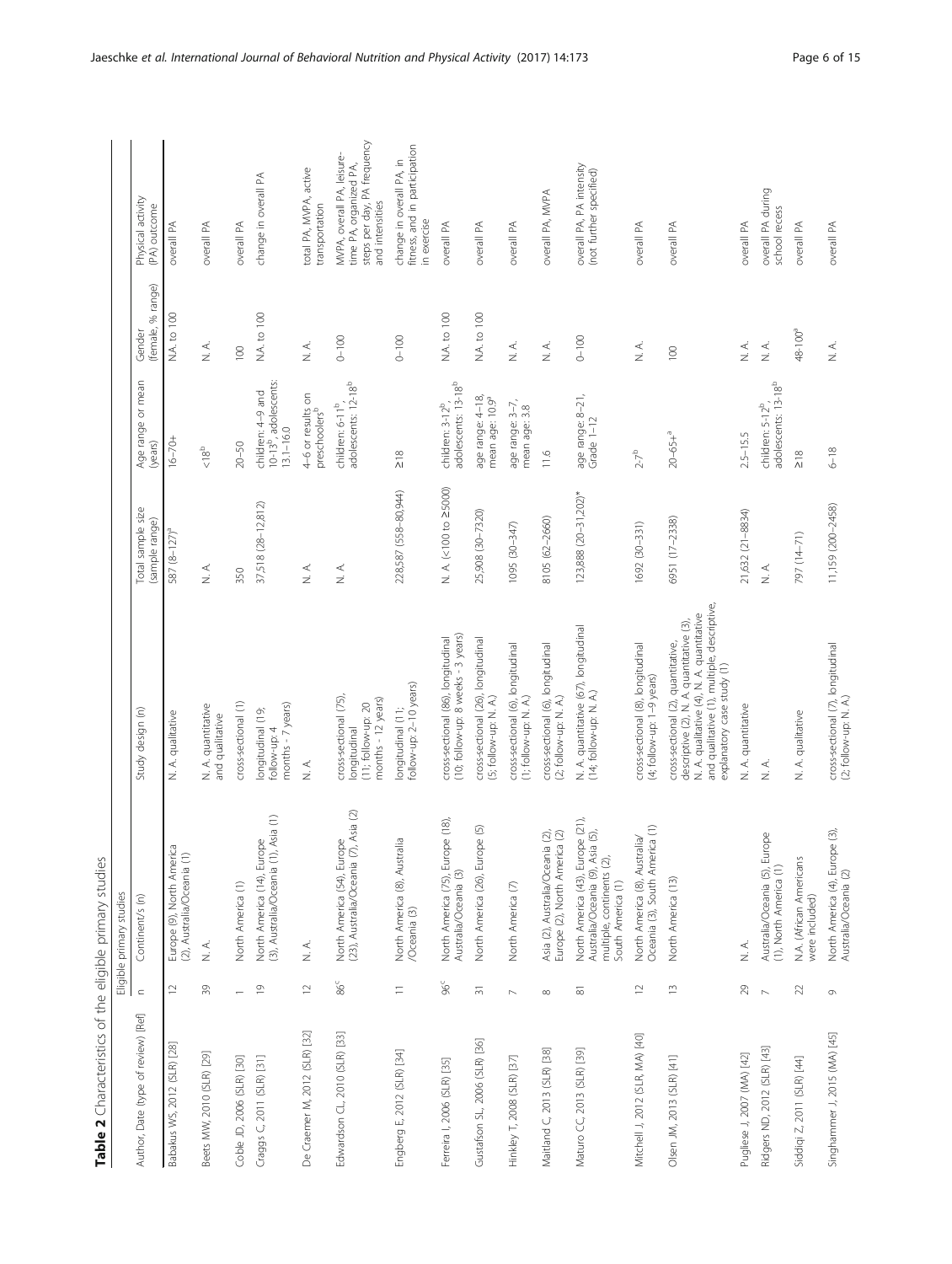<span id="page-5-0"></span>

| Table 2 Characteristics of the eligible primary studies |                     |                                                                                                                        |                                                                                                                                                                                                          |                                     |                                                                         |                                      |                                                                                                        |
|---------------------------------------------------------|---------------------|------------------------------------------------------------------------------------------------------------------------|----------------------------------------------------------------------------------------------------------------------------------------------------------------------------------------------------------|-------------------------------------|-------------------------------------------------------------------------|--------------------------------------|--------------------------------------------------------------------------------------------------------|
|                                                         |                     | Eligible primary studies                                                                                               |                                                                                                                                                                                                          |                                     |                                                                         |                                      |                                                                                                        |
| Author, Date (type of review) [Ref]                     | $\subset$           | Continent/s (n)                                                                                                        | Study design (n)                                                                                                                                                                                         | Total sample size<br>(sample range) | Age range or mean<br>(years)                                            | (female, % range)<br>Gender          | Physical activity<br>(PA) outcome                                                                      |
| Babakus WS, 2012 (SLR) [28]                             | $\approx$           | Europe (9), North America<br>(2), Australia/Oceania (1)                                                                | N. A. qualitative                                                                                                                                                                                        | 587 (8-127) <sup>a</sup>            | $16 - 70 +$                                                             | N.A. to 100                          | overall PA                                                                                             |
| Beets MW, 2010 (SLR) [29]                               | 39                  | ∠<br>∠                                                                                                                 | N. A. quantitative<br>and qualitative                                                                                                                                                                    | $\frac{1}{2}$                       | $\frac{1}{2}$                                                           | $\stackrel{<}{\scriptstyle{\sim}}$   | overall PA                                                                                             |
| Coble JD, 2006 (SLR) [30]                               |                     | North America (1)                                                                                                      | cross-sectional (1)                                                                                                                                                                                      | 350                                 | $20 - 50$                                                               | 100                                  | overall PA                                                                                             |
| Craggs C, 2011 (SLR) [31]                               | $\overline{0}$      | (3), Australia/Oceania (1), Asia (1)<br>North America (14), Europe                                                     | months - 7 years)<br>longitudinal (19;<br>follow-up: 4                                                                                                                                                   | 37,518 (28-12,812)                  | 10-13 <sup>b</sup> , adolescents:<br>children: 4-9 and<br>$13.1 - 16.0$ | N.A. to 100                          | change in overall PA                                                                                   |
| De Craemer M, 2012 (SLR) [32]                           | $\approx$           | ₹<br>Ź                                                                                                                 | $\stackrel{<}{\scriptstyle \sim}$                                                                                                                                                                        | ≺<br>Ź                              | 4–6 or results on<br>preschoolers <sup>b</sup>                          | $\leq$                               | total PA, MVPA, active<br>transportation                                                               |
| Edwardson CL, 2010 (SLR) [33]                           | 86 <sup>c</sup>     | (23), Australia/Oceania (7), Asia (2)<br>North America (54), Europe                                                    | cross-sectional (75),<br>months - 12 years)<br>$(11;$ follow-up: 20<br>longitudinal                                                                                                                      | $\stackrel{\triangle}{\simeq}$      | adolescents: 12-18 <sup>b</sup><br>children: 6-11 <sup>b</sup> ,        | $0 - 100$                            | steps per day, PA frequency<br>MVPA, overall PA, leisure-<br>time PA, organized PA,<br>and intensities |
| Engberg E, 2012 (SLR) [34]                              | $\equiv$            | alla<br>North America (8), Austr<br>/Oceania (3)                                                                       | follow-up: 2-10 years)<br>longitudinal (11;                                                                                                                                                              | 228,587 (558-80,944)                | $\frac{8}{218}$                                                         | $0 - 100$                            | fitness, and in participation<br>change in overall PA, in<br>in exercise                               |
| Ferreira I, 2006 (SLR) [35]                             | 96°                 | North America (75), Europe (18)<br>Australia/Oceania (3)                                                               | (10; follow-up: 8 weeks - 3 years)<br>cross-sectional (86), longitudinal                                                                                                                                 | N. A. (<100 to 25000)               | adolescents: 13-18 <sup>b</sup><br>children: 3-12 <sup>b</sup> ,        | N.A. to 100                          | overall PA                                                                                             |
| Gustafson SL, 2006 (SLR) [36]                           | $\overline{\gamma}$ | North America (26), Europe (5)                                                                                         | cross-sectional (26), longitudinal<br>(5; follow-up: N. A.)                                                                                                                                              | 25,908 (30-7320)                    | age range: 4-18,<br>mean age: 10.9ª                                     | N.A. to 100                          | overall PA                                                                                             |
| Hinkley T, 2008 (SLR) [37]                              | $\sim$              | North America (7)                                                                                                      | cross-sectional (6), longitudinal<br>$(1;$ follow-up: N. A.)                                                                                                                                             | 1095 (30-347)                       | age range: 3-7,<br>mean age: 3.8                                        | $\frac{1}{\alpha}$                   | overall PA                                                                                             |
| Maitland C, 2013 (SLR) [38]                             | $\infty$            | Asia (2), Australia/Oceania (2),<br>Europe (2), North America (2)                                                      | cross-sectional (6), longitudinal<br>(2; follow-up: N. A.)                                                                                                                                               | 8105 (62-2660)                      | 11.6                                                                    | $\stackrel{<}{\scriptstyle\sim}$     | overall PA, MVPA                                                                                       |
| Maturo CC, 2013 (SLR) [39]                              | $\overline{\infty}$ | North America (43), Europe (21),<br>Australia/Oceania (9), Asia (5),<br>multiple, continents (2),<br>South America (1) | N. A. quantitative (67), longitudinal<br>$(14;$ follow-up: N. A.)                                                                                                                                        | $123,888$ $(20-31,202)$ *           | age range: 8-21,<br>Grade $1-12$                                        | $0 - 100$                            | overall PA, PA intensity<br>(not further specified)                                                    |
| Mitchell J, 2012 (SLR, MA) [40]                         | $\approx$           | rica (1)<br>North America (8), Australia/<br>Oceania (3), South America (                                              | cross-sectional (8), longitudinal<br>(4; follow-up: 1-9 years)                                                                                                                                           | 1692 (30-331)                       | $2 - 7^{b}$                                                             | $\stackrel{<}{\scriptstyle{\simeq}}$ | overall PA                                                                                             |
| Olsen JM, 2013 (SLR) [41]                               | $\frac{1}{2}$       | North America (13)                                                                                                     | and qualitative (1), multiple, descriptive,<br>N. A. qualitative (4), N. A. quantitative<br>descriptive (2), N. A. quantitative (3),<br>cross-sectional (2), quantitative,<br>explanatory case study (1) | 6951 (17-2338)                      | $20 - 65 + a$                                                           | $\overline{100}$                     | overall PA                                                                                             |
| Pugliese J, 2007 (MA) [42]                              | $\mathcal{Q}$       | $\frac{1}{\alpha}$                                                                                                     | N. A. quantitative                                                                                                                                                                                       | 21,632 (21-8834)                    | $2.5 - 15.5$                                                            | $\frac{1}{\alpha}$                   | overall PA                                                                                             |
| Ridgers ND, 2012 (SLR) [43]                             | $\sim$              | Australia/Oceania (5), Europe<br>(1), North America (1)                                                                | ≮<br>N                                                                                                                                                                                                   | $\leq$ $\geq$                       | adolescents: 13-18 <sup>b</sup><br>children: 5-12 <sup>b</sup> ,        | $\stackrel{<}{\scriptstyle{\sim}}$   | overall PA during<br>school recess                                                                     |
| Siddiqi Z, 2011 (SLR) [44]                              | $\mathfrak{Z}$      | N.A. (African Americans<br>were included)                                                                              | N. A. qualitative                                                                                                                                                                                        | 797 (14-71)                         | $\frac{8}{218}$                                                         | $48 - 100^{a}$                       | overall PA                                                                                             |
| Singhammer J, 2015 (MA) [45]                            | $\circ$             | North America (4), Europe (3),<br>Australia/Oceania (2)                                                                | cross-sectional (7), longitudinal<br>(2; follow-up: N. A.)                                                                                                                                               | 11,159 (200-2458)                   | $6 - 18$                                                                | $\frac{1}{\alpha}$                   | overall PA                                                                                             |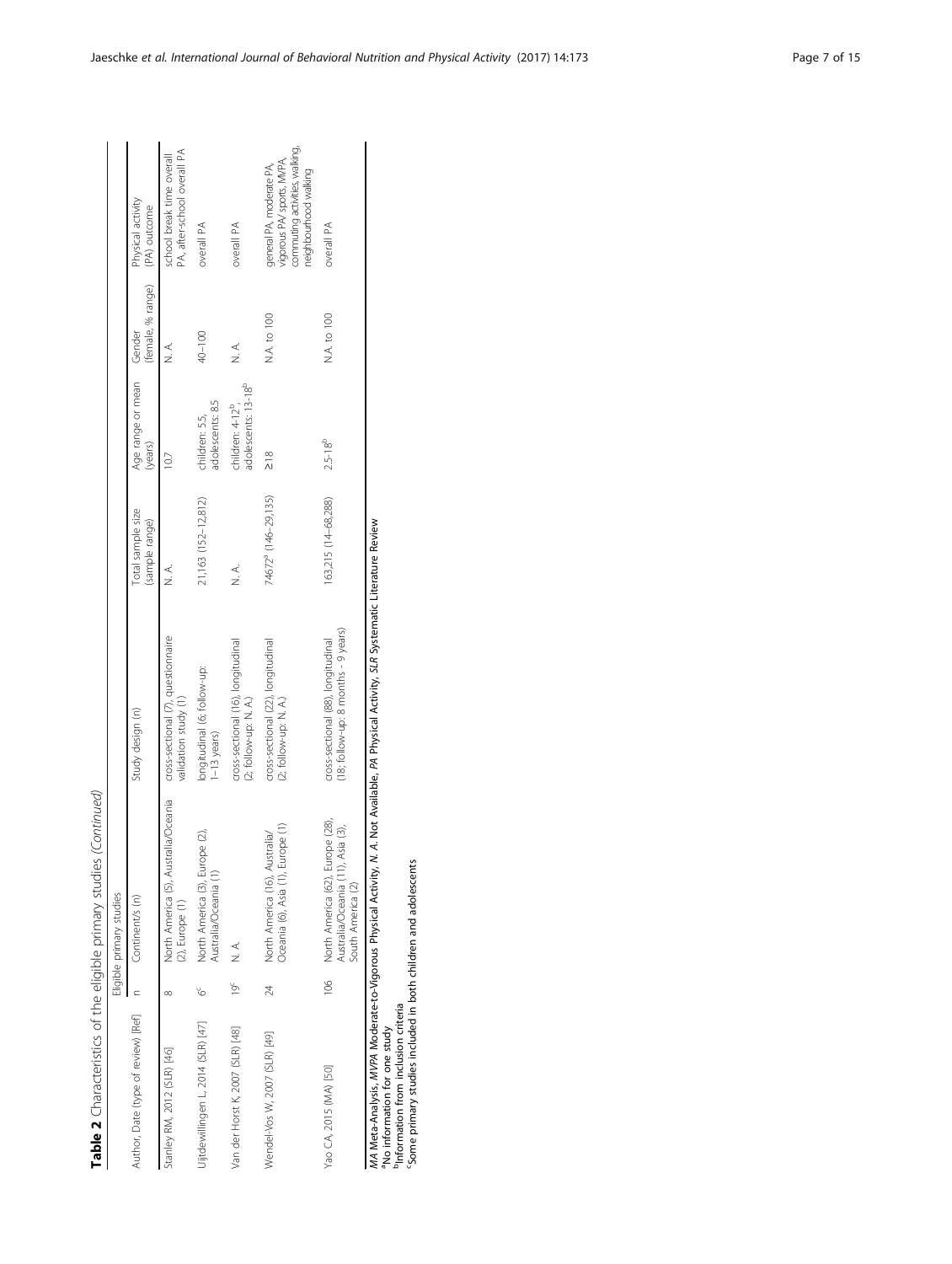|                                     |        | Table 2 Characteristics of the eligible primary studies (Continued)                           |                                                                           |                                     |                                                                  |                             |                                                                                                                   |
|-------------------------------------|--------|-----------------------------------------------------------------------------------------------|---------------------------------------------------------------------------|-------------------------------------|------------------------------------------------------------------|-----------------------------|-------------------------------------------------------------------------------------------------------------------|
|                                     |        | Eligible primary studies                                                                      |                                                                           |                                     |                                                                  |                             |                                                                                                                   |
| Author, Date (type of review) [Ref] |        | Continent/s (n)                                                                               | Study design (n)                                                          | Total sample size<br>(sample range) | Age range or mean<br>(years)                                     | (female, % range)<br>Gender | Physical activity<br>(PA) outcome                                                                                 |
| Stanley RM, 2012 (SLR) [46]         | œ      | North America (5), Australia/Oceania<br>(2), Europe (1)                                       | cross-sectional (7), questionnaire<br>validation study (1)                | ≺<br>z                              | 10.7                                                             | <<br>∠<br>∠                 | PA, after-school overall PA<br>school break time overall                                                          |
| Uijtdewillingen L, 2014 (SLR) [47]  |        | North America (3), Europe (2),<br>Australia/Oceania (1)                                       | longitudinal (6; follow-up:<br>$1-13$ years)                              | 21,163 (152-12,812)                 | adolescents: 8.5<br>children: 5.5,                               | $40 - 100$                  | overall PA                                                                                                        |
| Van der Horst K, 2007 (SLR) [48]    | $19^c$ | $\stackrel{<}{\scriptstyle{\sim}}$                                                            | cross-sectional (16), longitudinal<br>$(2;$ follow-up: N. A)              | ≺<br>z                              | adolescents: 13-18 <sup>b</sup><br>children: 4-12 <sup>b</sup> , | $\frac{1}{2}$               | overall PA                                                                                                        |
| Wendel-Vos W, 2007 (SLR) [49]       | 24     | Oceania (6), Asia (1), Europe (1)<br>North America (16), Australia/                           | cross-sectional (22), longitudinal<br>$(2;$ follow-up: N. A)              | 74672 <sup>ª</sup> (146-29.135)     | $\frac{8}{2}$                                                    | N.A. to 100                 | commuting activities, walking,<br>vigorous PA/ sports, MVPA,<br>general PA, moderate PA,<br>neighbourhood walking |
| Yao CA, 2015 (MA) [50]              | 106    | North America (62), Europe (28),<br>Asia (3),<br>Australia/Oceania (11),<br>South America (2) | (18; follow-up: 8 months - 9 years)<br>cross-sectional (88), longitudinal | 163,215 (14-68,288)                 | $2.5 - 18^{b}$                                                   | N.A. to 100                 | overall PA                                                                                                        |

*MA Meta-*Analysis, *MVPA Moderate-to-Vigorous Physical Activity, N. A.* Not Available, *PA Physical Activity, SLR Systematic Literature Review*<br><sup>a</sup>No information for one study<br>"Some primary studies included in both childr MA Meta-Analysis, MVPA Moderate-to-Vigorous Physical Activity, N. A. Not Available, PA Physical Activity, SLR Systematic Literature Review

aNo information for one study

<sup>b</sup>Information from inclusion criteria cSome primary studies included in both children and adolescents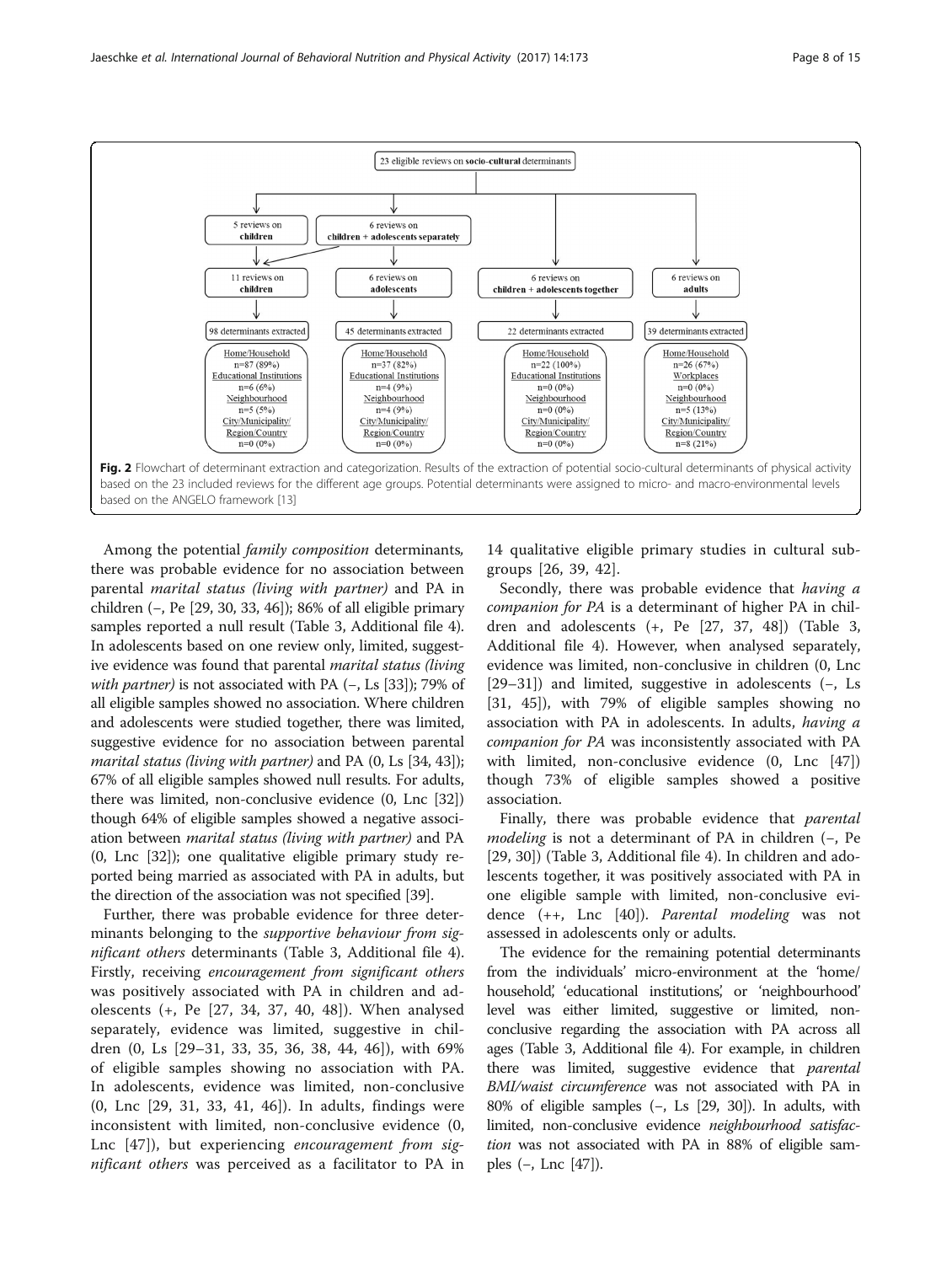<span id="page-7-0"></span>

Among the potential family composition determinants, there was probable evidence for no association between parental marital status (living with partner) and PA in children (−, Pe [[29](#page-13-0), [30, 33](#page-13-0), [46\]](#page-14-0)); 86% of all eligible primary samples reported a null result (Table [3](#page-8-0), Additional file [4](#page-12-0)). In adolescents based on one review only, limited, suggestive evidence was found that parental marital status (living with partner) is not associated with PA (−, Ls [\[33\]](#page-13-0)); 79% of all eligible samples showed no association. Where children and adolescents were studied together, there was limited, suggestive evidence for no association between parental marital status (living with partner) and PA (0, Ls [\[34,](#page-13-0) [43](#page-14-0)]); 67% of all eligible samples showed null results. For adults, there was limited, non-conclusive evidence (0, Lnc [[32](#page-13-0)]) though 64% of eligible samples showed a negative association between marital status (living with partner) and PA (0, Lnc [[32](#page-13-0)]); one qualitative eligible primary study reported being married as associated with PA in adults, but the direction of the association was not specified [[39](#page-14-0)].

Further, there was probable evidence for three determinants belonging to the supportive behaviour from significant others determinants (Table [3](#page-8-0), Additional file [4](#page-12-0)). Firstly, receiving encouragement from significant others was positively associated with PA in children and adolescents (+, Pe [[27, 34, 37,](#page-13-0) [40, 48\]](#page-14-0)). When analysed separately, evidence was limited, suggestive in children (0, Ls [\[29](#page-13-0)–[31](#page-13-0), [33, 35](#page-13-0), [36](#page-13-0), [38,](#page-13-0) [44](#page-14-0), [46\]](#page-14-0)), with 69% of eligible samples showing no association with PA. In adolescents, evidence was limited, non-conclusive (0, Lnc [[29, 31, 33,](#page-13-0) [41, 46\]](#page-14-0)). In adults, findings were inconsistent with limited, non-conclusive evidence (0, Lnc [\[47](#page-14-0)]), but experiencing *encouragement* from significant others was perceived as a facilitator to PA in 14 qualitative eligible primary studies in cultural subgroups [\[26](#page-13-0), [39](#page-14-0), [42\]](#page-14-0).

Secondly, there was probable evidence that *having a* companion for PA is a determinant of higher PA in children and adolescents (+, Pe [[27, 37,](#page-13-0) [48](#page-14-0)]) (Table [3](#page-8-0), Additional file [4](#page-12-0)). However, when analysed separately, evidence was limited, non-conclusive in children (0, Lnc [[29](#page-13-0)–[31](#page-13-0)]) and limited, suggestive in adolescents (−, Ls [[31,](#page-13-0) [45](#page-14-0)]), with 79% of eligible samples showing no association with PA in adolescents. In adults, having a companion for PA was inconsistently associated with PA with limited, non-conclusive evidence (0, Lnc [\[47](#page-14-0)]) though 73% of eligible samples showed a positive association.

Finally, there was probable evidence that parental *modeling* is not a determinant of PA in children (−, Pe [[29, 30\]](#page-13-0)) (Table [3,](#page-8-0) Additional file [4](#page-12-0)). In children and adolescents together, it was positively associated with PA in one eligible sample with limited, non-conclusive evidence (++, Lnc [[40\]](#page-14-0)). Parental modeling was not assessed in adolescents only or adults.

The evidence for the remaining potential determinants from the individuals' micro-environment at the 'home/ household, 'educational institutions,' or 'neighbourhood' level was either limited, suggestive or limited, nonconclusive regarding the association with PA across all ages (Table [3](#page-8-0), Additional file [4\)](#page-12-0). For example, in children there was limited, suggestive evidence that *parental* BMI/waist circumference was not associated with PA in 80% of eligible samples (−, Ls [\[29](#page-13-0), [30\]](#page-13-0)). In adults, with limited, non-conclusive evidence neighbourhood satisfaction was not associated with PA in 88% of eligible samples (−, Lnc [\[47](#page-14-0)]).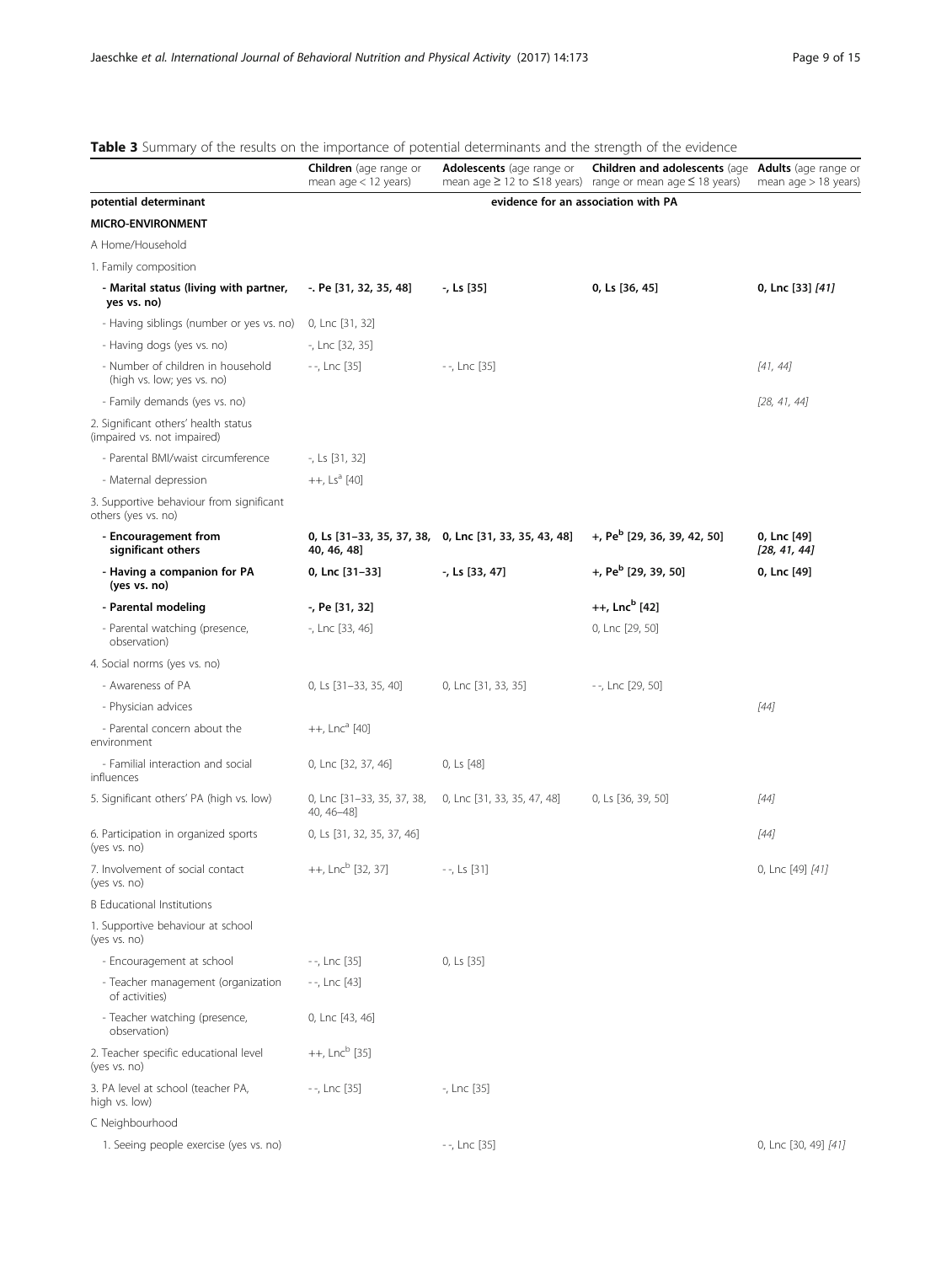# <span id="page-8-0"></span>Table 3 Summary of the results on the importance of potential determinants and the strength of the evidence

|                                                                     | <b>Children</b> (age range or<br>mean $age < 12$ years) | Adolescents (age range or                             | Children and adolescents (age Adults (age range or<br>mean age ≥ 12 to ≤18 years) range or mean age ≤ 18 years) | mean age $>$ 18 years)      |
|---------------------------------------------------------------------|---------------------------------------------------------|-------------------------------------------------------|-----------------------------------------------------------------------------------------------------------------|-----------------------------|
| potential determinant                                               |                                                         | evidence for an association with PA                   |                                                                                                                 |                             |
| MICRO-ENVIRONMENT                                                   |                                                         |                                                       |                                                                                                                 |                             |
| A Home/Household                                                    |                                                         |                                                       |                                                                                                                 |                             |
| 1. Family composition                                               |                                                         |                                                       |                                                                                                                 |                             |
| - Marital status (living with partner,<br>yes vs. no)               | -. Pe [31, 32, 35, 48]                                  | -, Ls [35]                                            | 0, Ls [36, 45]                                                                                                  | 0, Lnc [33] [41]            |
| - Having siblings (number or yes vs. no)                            | 0, Lnc [31, 32]                                         |                                                       |                                                                                                                 |                             |
| - Having dogs (yes vs. no)                                          | -, Lnc [32, 35]                                         |                                                       |                                                                                                                 |                             |
| - Number of children in household<br>(high vs. low; yes vs. no)     | --, Lnc [35]                                            | --, Lnc [35]                                          |                                                                                                                 | [41, 44]                    |
| - Family demands (yes vs. no)                                       |                                                         |                                                       |                                                                                                                 | [28, 41, 44]                |
| 2. Significant others' health status<br>(impaired vs. not impaired) |                                                         |                                                       |                                                                                                                 |                             |
| - Parental BMI/waist circumference                                  | $-$ , Ls [31, 32]                                       |                                                       |                                                                                                                 |                             |
| - Maternal depression                                               | $++$ , Ls <sup>a</sup> [40]                             |                                                       |                                                                                                                 |                             |
| 3. Supportive behaviour from significant<br>others (yes vs. no)     |                                                         |                                                       |                                                                                                                 |                             |
| - Encouragement from<br>significant others                          | 40, 46, 48]                                             | 0, Ls [31-33, 35, 37, 38, 0, Lnc [31, 33, 35, 43, 48] | +, Pe $^{\rm b}$ [29, 36, 39, 42, 50]                                                                           | 0, Lnc [49]<br>[28, 41, 44] |
| - Having a companion for PA<br>(yes vs. no)                         | 0, Lnc [31-33]                                          | -, Ls [33, 47]                                        | +, Pe <sup>b</sup> [29, 39, 50]                                                                                 | 0, Lnc [49]                 |
| - Parental modeling                                                 | -, Pe [31, 32]                                          |                                                       | $++$ , Lnc <sup>b</sup> [42]                                                                                    |                             |
| - Parental watching (presence,<br>observation)                      | -, Lnc [33, 46]                                         |                                                       | 0, Lnc [29, 50]                                                                                                 |                             |
| 4. Social norms (yes vs. no)                                        |                                                         |                                                       |                                                                                                                 |                             |
| - Awareness of PA                                                   | 0, Ls [31-33, 35, 40]                                   | 0, Lnc [31, 33, 35]                                   | --, Lnc [29, 50]                                                                                                |                             |
| - Physician advices                                                 |                                                         |                                                       |                                                                                                                 | $[44]$                      |
| - Parental concern about the<br>environment                         | $++$ , Lnc <sup>a</sup> [40]                            |                                                       |                                                                                                                 |                             |
| - Familial interaction and social<br>influences                     | 0, Lnc [32, 37, 46]                                     | 0, Ls [48]                                            |                                                                                                                 |                             |
| 5. Significant others' PA (high vs. low)                            | 0, Lnc [31-33, 35, 37, 38,<br>40, 46-48]                | 0, Lnc [31, 33, 35, 47, 48]                           | 0, Ls [36, 39, 50]                                                                                              | [44]                        |
| 6. Participation in organized sports<br>(yes vs. no)                | 0, Ls [31, 32, 35, 37, 46]                              |                                                       |                                                                                                                 | [44]                        |
| 7. Involvement of social contact<br>(yes vs. no)                    | ++, Lnc <sup>b</sup> [32, 37]                           | --, Ls [31]                                           |                                                                                                                 | 0, Lnc [49] [41]            |
| <b>B</b> Educational Institutions                                   |                                                         |                                                       |                                                                                                                 |                             |
| 1. Supportive behaviour at school<br>(yes vs. no)                   |                                                         |                                                       |                                                                                                                 |                             |
| - Encouragement at school                                           | --, Lnc [35]                                            | 0, Ls [35]                                            |                                                                                                                 |                             |
| - Teacher management (organization<br>of activities)                | --, Lnc [43]                                            |                                                       |                                                                                                                 |                             |
| - Teacher watching (presence,<br>observation)                       | 0, Lnc [43, 46]                                         |                                                       |                                                                                                                 |                             |
| 2. Teacher specific educational level<br>(yes vs. no)               | $++$ , Lnc <sup>b</sup> [35]                            |                                                       |                                                                                                                 |                             |
| 3. PA level at school (teacher PA,<br>high vs. low)                 | --, Lnc [35]                                            | -, Lnc [35]                                           |                                                                                                                 |                             |
| C Neighbourhood                                                     |                                                         |                                                       |                                                                                                                 |                             |
| 1. Seeing people exercise (yes vs. no)                              |                                                         | --, Lnc [35]                                          |                                                                                                                 | 0, Lnc [30, 49] [41]        |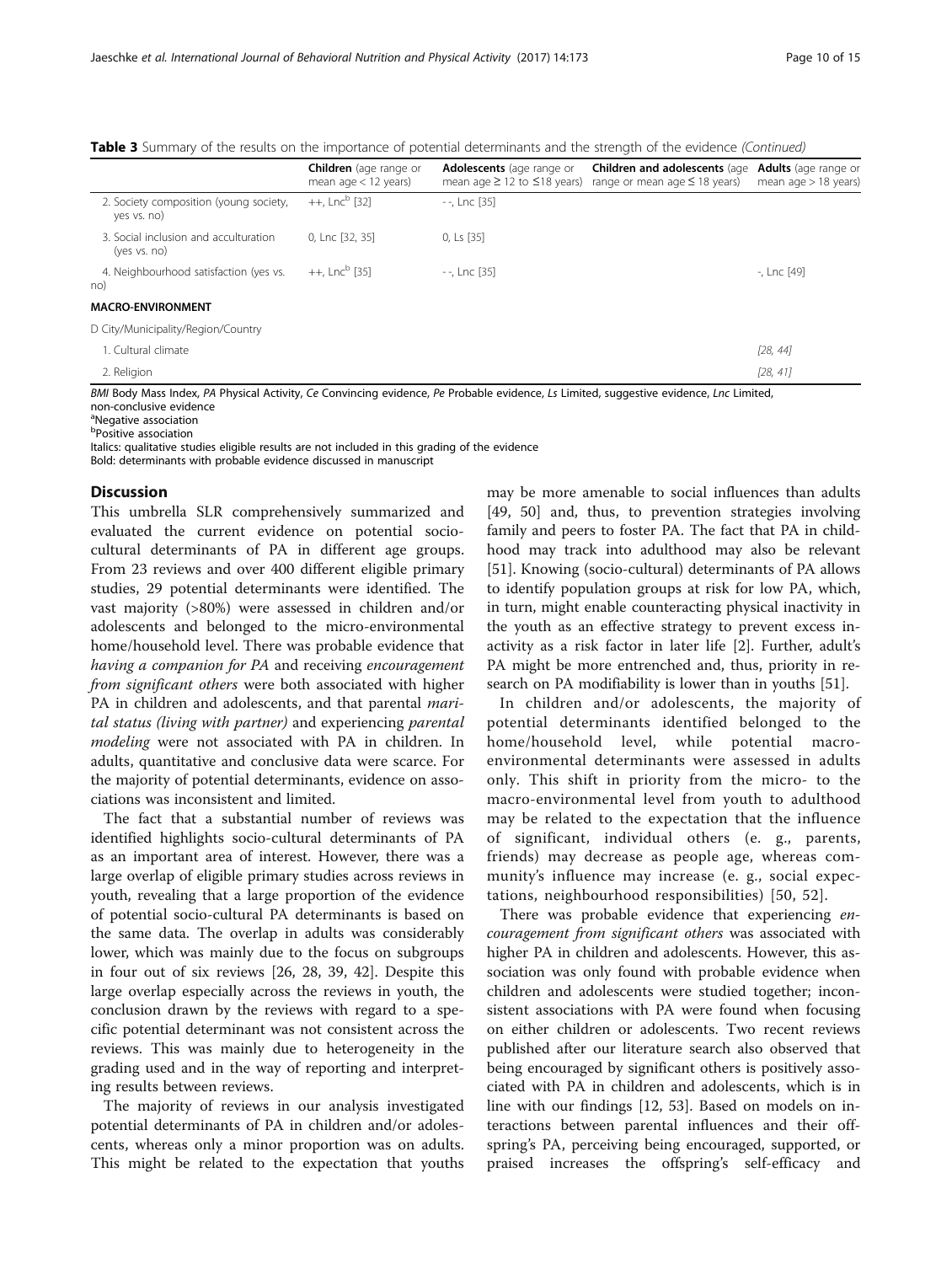| <b>Table 3</b> Summary of the results on the importance of potential determinants and the strength of the evidence <i>(Continued)</i> |  |  |  |
|---------------------------------------------------------------------------------------------------------------------------------------|--|--|--|
|---------------------------------------------------------------------------------------------------------------------------------------|--|--|--|

|                                                       | <b>Children</b> (age range or<br>mean $age < 12$ years) | Adolescents (age range or<br>mean age $\geq$ 12 to $\leq$ 18 years) | Children and adolescents (age<br>range or mean age $\leq$ 18 years) | <b>Adults</b> (age range or<br>mean $aqe > 18$ years) |
|-------------------------------------------------------|---------------------------------------------------------|---------------------------------------------------------------------|---------------------------------------------------------------------|-------------------------------------------------------|
| 2. Society composition (young society,<br>yes vs. no) | $++$ , Lnc <sup>b</sup> [32]                            | $-$ , Lnc [35]                                                      |                                                                     |                                                       |
| 3. Social inclusion and acculturation<br>(yes vs. no) | 0, Lnc [32, 35]                                         | 0, Ls [35]                                                          |                                                                     |                                                       |
| 4. Neighbourhood satisfaction (yes vs.<br>no)         | $++$ , Lnc <sup>b</sup> [35]                            | $-$ , Lnc [35]                                                      |                                                                     | -, Lnc [49]                                           |
| <b>MACRO-ENVIRONMENT</b>                              |                                                         |                                                                     |                                                                     |                                                       |
| D City/Municipality/Region/Country                    |                                                         |                                                                     |                                                                     |                                                       |
| 1. Cultural climate                                   |                                                         |                                                                     |                                                                     | [28, 44]                                              |
| 2. Religion                                           |                                                         |                                                                     |                                                                     | [28, 41]                                              |

BMI Body Mass Index, PA Physical Activity, Ce Convincing evidence, Pe Probable evidence, Ls Limited, suggestive evidence, Lnc Limited, non-conclusive evidence

<sup>a</sup>Negative association

b Positive association

Italics: qualitative studies eligible results are not included in this grading of the evidence Bold: determinants with probable evidence discussed in manuscript

## **Discussion**

This umbrella SLR comprehensively summarized and evaluated the current evidence on potential sociocultural determinants of PA in different age groups. From 23 reviews and over 400 different eligible primary studies, 29 potential determinants were identified. The vast majority (>80%) were assessed in children and/or adolescents and belonged to the micro-environmental home/household level. There was probable evidence that having a companion for PA and receiving encouragement from significant others were both associated with higher PA in children and adolescents, and that parental *mari*tal status (living with partner) and experiencing parental modeling were not associated with PA in children. In adults, quantitative and conclusive data were scarce. For the majority of potential determinants, evidence on associations was inconsistent and limited.

The fact that a substantial number of reviews was identified highlights socio-cultural determinants of PA as an important area of interest. However, there was a large overlap of eligible primary studies across reviews in youth, revealing that a large proportion of the evidence of potential socio-cultural PA determinants is based on the same data. The overlap in adults was considerably lower, which was mainly due to the focus on subgroups in four out of six reviews [\[26, 28,](#page-13-0) [39](#page-14-0), [42](#page-14-0)]. Despite this large overlap especially across the reviews in youth, the conclusion drawn by the reviews with regard to a specific potential determinant was not consistent across the reviews. This was mainly due to heterogeneity in the grading used and in the way of reporting and interpreting results between reviews.

The majority of reviews in our analysis investigated potential determinants of PA in children and/or adolescents, whereas only a minor proportion was on adults. This might be related to the expectation that youths may be more amenable to social influences than adults [[49, 50\]](#page-14-0) and, thus, to prevention strategies involving family and peers to foster PA. The fact that PA in childhood may track into adulthood may also be relevant [[51\]](#page-14-0). Knowing (socio-cultural) determinants of PA allows to identify population groups at risk for low PA, which, in turn, might enable counteracting physical inactivity in the youth as an effective strategy to prevent excess inactivity as a risk factor in later life [[2\]](#page-13-0). Further, adult's PA might be more entrenched and, thus, priority in research on PA modifiability is lower than in youths [\[51](#page-14-0)].

In children and/or adolescents, the majority of potential determinants identified belonged to the home/household level, while potential macroenvironmental determinants were assessed in adults only. This shift in priority from the micro- to the macro-environmental level from youth to adulthood may be related to the expectation that the influence of significant, individual others (e. g., parents, friends) may decrease as people age, whereas community's influence may increase (e. g., social expectations, neighbourhood responsibilities) [[50, 52\]](#page-14-0).

There was probable evidence that experiencing encouragement from significant others was associated with higher PA in children and adolescents. However, this association was only found with probable evidence when children and adolescents were studied together; inconsistent associations with PA were found when focusing on either children or adolescents. Two recent reviews published after our literature search also observed that being encouraged by significant others is positively associated with PA in children and adolescents, which is in line with our findings [[12,](#page-13-0) [53](#page-14-0)]. Based on models on interactions between parental influences and their offspring's PA, perceiving being encouraged, supported, or praised increases the offspring's self-efficacy and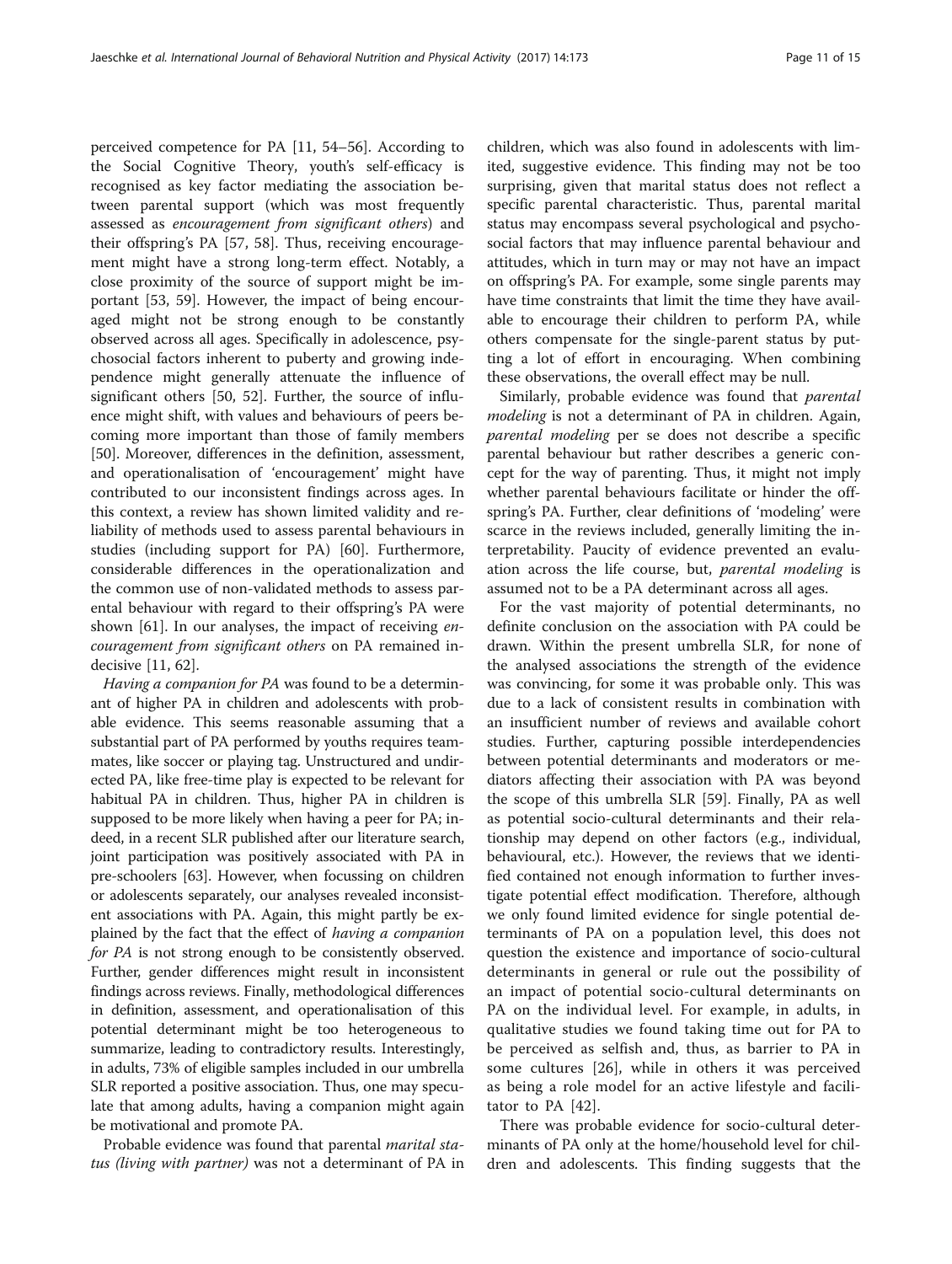perceived competence for PA [\[11,](#page-13-0) [54](#page-14-0)–[56](#page-14-0)]. According to the Social Cognitive Theory, youth's self-efficacy is recognised as key factor mediating the association between parental support (which was most frequently assessed as encouragement from significant others) and their offspring's PA [\[57](#page-14-0), [58\]](#page-14-0). Thus, receiving encouragement might have a strong long-term effect. Notably, a close proximity of the source of support might be important [\[53, 59\]](#page-14-0). However, the impact of being encouraged might not be strong enough to be constantly observed across all ages. Specifically in adolescence, psychosocial factors inherent to puberty and growing independence might generally attenuate the influence of significant others [[50, 52\]](#page-14-0). Further, the source of influence might shift, with values and behaviours of peers becoming more important than those of family members [[50\]](#page-14-0). Moreover, differences in the definition, assessment, and operationalisation of 'encouragement' might have contributed to our inconsistent findings across ages. In this context, a review has shown limited validity and reliability of methods used to assess parental behaviours in studies (including support for PA) [[60](#page-14-0)]. Furthermore, considerable differences in the operationalization and the common use of non-validated methods to assess parental behaviour with regard to their offspring's PA were shown [[61\]](#page-14-0). In our analyses, the impact of receiving *en*couragement from significant others on PA remained indecisive [[11,](#page-13-0) [62](#page-14-0)].

Having a companion for PA was found to be a determinant of higher PA in children and adolescents with probable evidence. This seems reasonable assuming that a substantial part of PA performed by youths requires teammates, like soccer or playing tag. Unstructured and undirected PA, like free-time play is expected to be relevant for habitual PA in children. Thus, higher PA in children is supposed to be more likely when having a peer for PA; indeed, in a recent SLR published after our literature search, joint participation was positively associated with PA in pre-schoolers [\[63](#page-14-0)]. However, when focussing on children or adolescents separately, our analyses revealed inconsistent associations with PA. Again, this might partly be explained by the fact that the effect of having a companion for PA is not strong enough to be consistently observed. Further, gender differences might result in inconsistent findings across reviews. Finally, methodological differences in definition, assessment, and operationalisation of this potential determinant might be too heterogeneous to summarize, leading to contradictory results. Interestingly, in adults, 73% of eligible samples included in our umbrella SLR reported a positive association. Thus, one may speculate that among adults, having a companion might again be motivational and promote PA.

Probable evidence was found that parental marital status (living with partner) was not a determinant of PA in

children, which was also found in adolescents with limited, suggestive evidence. This finding may not be too surprising, given that marital status does not reflect a specific parental characteristic. Thus, parental marital status may encompass several psychological and psychosocial factors that may influence parental behaviour and attitudes, which in turn may or may not have an impact on offspring's PA. For example, some single parents may have time constraints that limit the time they have available to encourage their children to perform PA, while others compensate for the single-parent status by putting a lot of effort in encouraging. When combining these observations, the overall effect may be null.

Similarly, probable evidence was found that parental modeling is not a determinant of PA in children. Again, parental modeling per se does not describe a specific parental behaviour but rather describes a generic concept for the way of parenting. Thus, it might not imply whether parental behaviours facilitate or hinder the offspring's PA. Further, clear definitions of 'modeling' were scarce in the reviews included, generally limiting the interpretability. Paucity of evidence prevented an evaluation across the life course, but, parental modeling is assumed not to be a PA determinant across all ages.

For the vast majority of potential determinants, no definite conclusion on the association with PA could be drawn. Within the present umbrella SLR, for none of the analysed associations the strength of the evidence was convincing, for some it was probable only. This was due to a lack of consistent results in combination with an insufficient number of reviews and available cohort studies. Further, capturing possible interdependencies between potential determinants and moderators or mediators affecting their association with PA was beyond the scope of this umbrella SLR [\[59](#page-14-0)]. Finally, PA as well as potential socio-cultural determinants and their relationship may depend on other factors (e.g., individual, behavioural, etc.). However, the reviews that we identified contained not enough information to further investigate potential effect modification. Therefore, although we only found limited evidence for single potential determinants of PA on a population level, this does not question the existence and importance of socio-cultural determinants in general or rule out the possibility of an impact of potential socio-cultural determinants on PA on the individual level. For example, in adults, in qualitative studies we found taking time out for PA to be perceived as selfish and, thus, as barrier to PA in some cultures [[26\]](#page-13-0), while in others it was perceived as being a role model for an active lifestyle and facilitator to PA [\[42](#page-14-0)].

There was probable evidence for socio-cultural determinants of PA only at the home/household level for children and adolescents. This finding suggests that the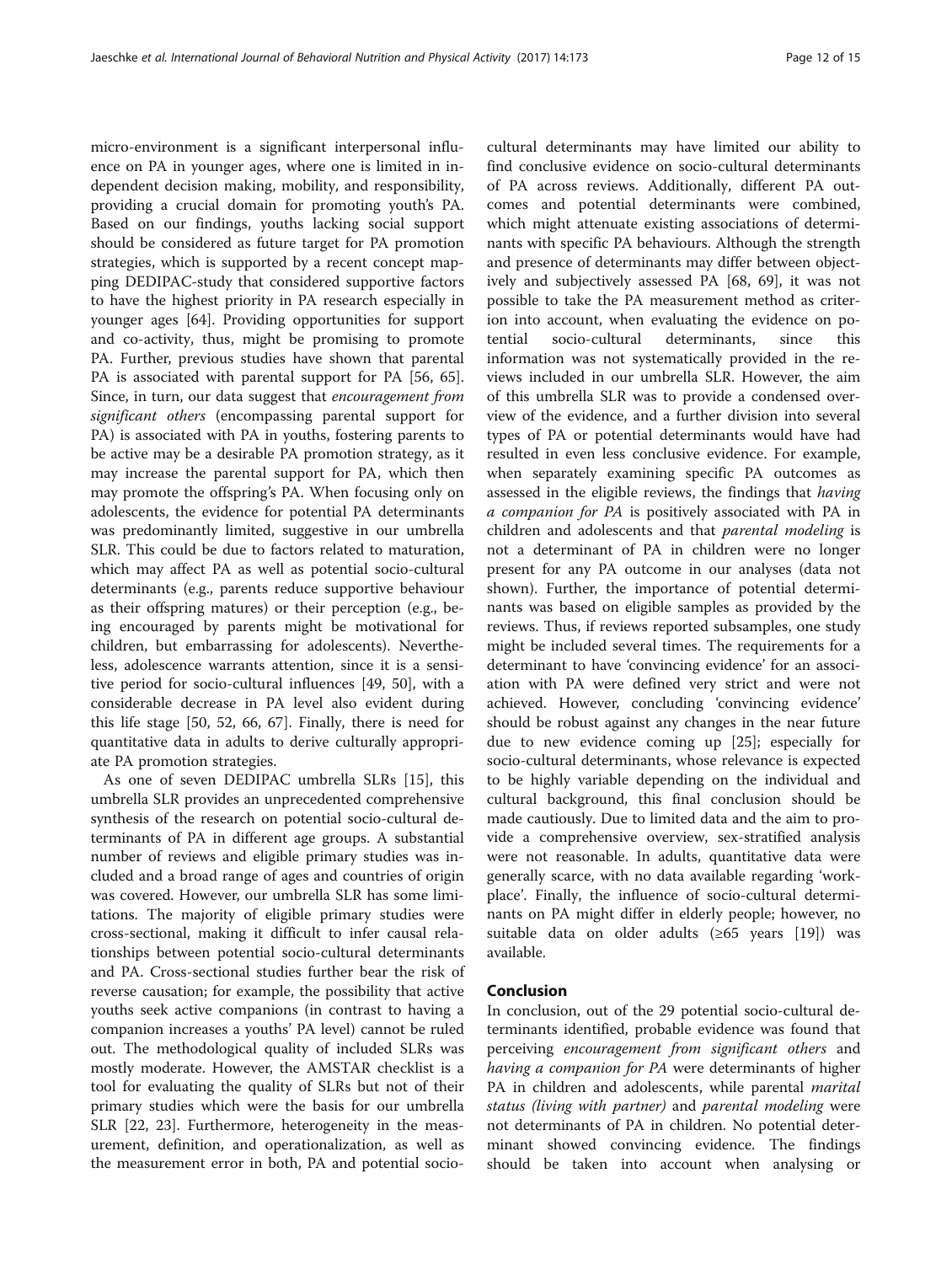micro-environment is a significant interpersonal influence on PA in younger ages, where one is limited in independent decision making, mobility, and responsibility, providing a crucial domain for promoting youth's PA. Based on our findings, youths lacking social support should be considered as future target for PA promotion strategies, which is supported by a recent concept mapping DEDIPAC-study that considered supportive factors to have the highest priority in PA research especially in younger ages [[64](#page-14-0)]. Providing opportunities for support and co-activity, thus, might be promising to promote PA. Further, previous studies have shown that parental PA is associated with parental support for PA [\[56](#page-14-0), [65](#page-14-0)]. Since, in turn, our data suggest that encouragement from significant others (encompassing parental support for PA) is associated with PA in youths, fostering parents to be active may be a desirable PA promotion strategy, as it may increase the parental support for PA, which then may promote the offspring's PA. When focusing only on adolescents, the evidence for potential PA determinants was predominantly limited, suggestive in our umbrella SLR. This could be due to factors related to maturation, which may affect PA as well as potential socio-cultural determinants (e.g., parents reduce supportive behaviour as their offspring matures) or their perception (e.g., being encouraged by parents might be motivational for children, but embarrassing for adolescents). Nevertheless, adolescence warrants attention, since it is a sensitive period for socio-cultural influences [\[49](#page-14-0), [50](#page-14-0)], with a considerable decrease in PA level also evident during this life stage [[50](#page-14-0), [52](#page-14-0), [66](#page-14-0), [67\]](#page-14-0). Finally, there is need for quantitative data in adults to derive culturally appropriate PA promotion strategies.

As one of seven DEDIPAC umbrella SLRs [[15\]](#page-13-0), this umbrella SLR provides an unprecedented comprehensive synthesis of the research on potential socio-cultural determinants of PA in different age groups. A substantial number of reviews and eligible primary studies was included and a broad range of ages and countries of origin was covered. However, our umbrella SLR has some limitations. The majority of eligible primary studies were cross-sectional, making it difficult to infer causal relationships between potential socio-cultural determinants and PA. Cross-sectional studies further bear the risk of reverse causation; for example, the possibility that active youths seek active companions (in contrast to having a companion increases a youths' PA level) cannot be ruled out. The methodological quality of included SLRs was mostly moderate. However, the AMSTAR checklist is a tool for evaluating the quality of SLRs but not of their primary studies which were the basis for our umbrella SLR [\[22, 23](#page-13-0)]. Furthermore, heterogeneity in the measurement, definition, and operationalization, as well as the measurement error in both, PA and potential sociocultural determinants may have limited our ability to find conclusive evidence on socio-cultural determinants of PA across reviews. Additionally, different PA outcomes and potential determinants were combined, which might attenuate existing associations of determinants with specific PA behaviours. Although the strength and presence of determinants may differ between objectively and subjectively assessed PA [[68, 69](#page-14-0)], it was not possible to take the PA measurement method as criterion into account, when evaluating the evidence on potential socio-cultural determinants, since this information was not systematically provided in the reviews included in our umbrella SLR. However, the aim of this umbrella SLR was to provide a condensed overview of the evidence, and a further division into several types of PA or potential determinants would have had resulted in even less conclusive evidence. For example, when separately examining specific PA outcomes as assessed in the eligible reviews, the findings that having a companion for PA is positively associated with PA in children and adolescents and that parental modeling is not a determinant of PA in children were no longer present for any PA outcome in our analyses (data not shown). Further, the importance of potential determinants was based on eligible samples as provided by the reviews. Thus, if reviews reported subsamples, one study might be included several times. The requirements for a determinant to have 'convincing evidence' for an association with PA were defined very strict and were not achieved. However, concluding 'convincing evidence' should be robust against any changes in the near future due to new evidence coming up [[25\]](#page-13-0); especially for socio-cultural determinants, whose relevance is expected to be highly variable depending on the individual and cultural background, this final conclusion should be made cautiously. Due to limited data and the aim to provide a comprehensive overview, sex-stratified analysis were not reasonable. In adults, quantitative data were generally scarce, with no data available regarding 'workplace'. Finally, the influence of socio-cultural determinants on PA might differ in elderly people; however, no suitable data on older adults (≥65 years [\[19](#page-13-0)]) was available.

## Conclusion

In conclusion, out of the 29 potential socio-cultural determinants identified, probable evidence was found that perceiving encouragement from significant others and having a companion for PA were determinants of higher PA in children and adolescents, while parental marital status (living with partner) and parental modeling were not determinants of PA in children. No potential determinant showed convincing evidence. The findings should be taken into account when analysing or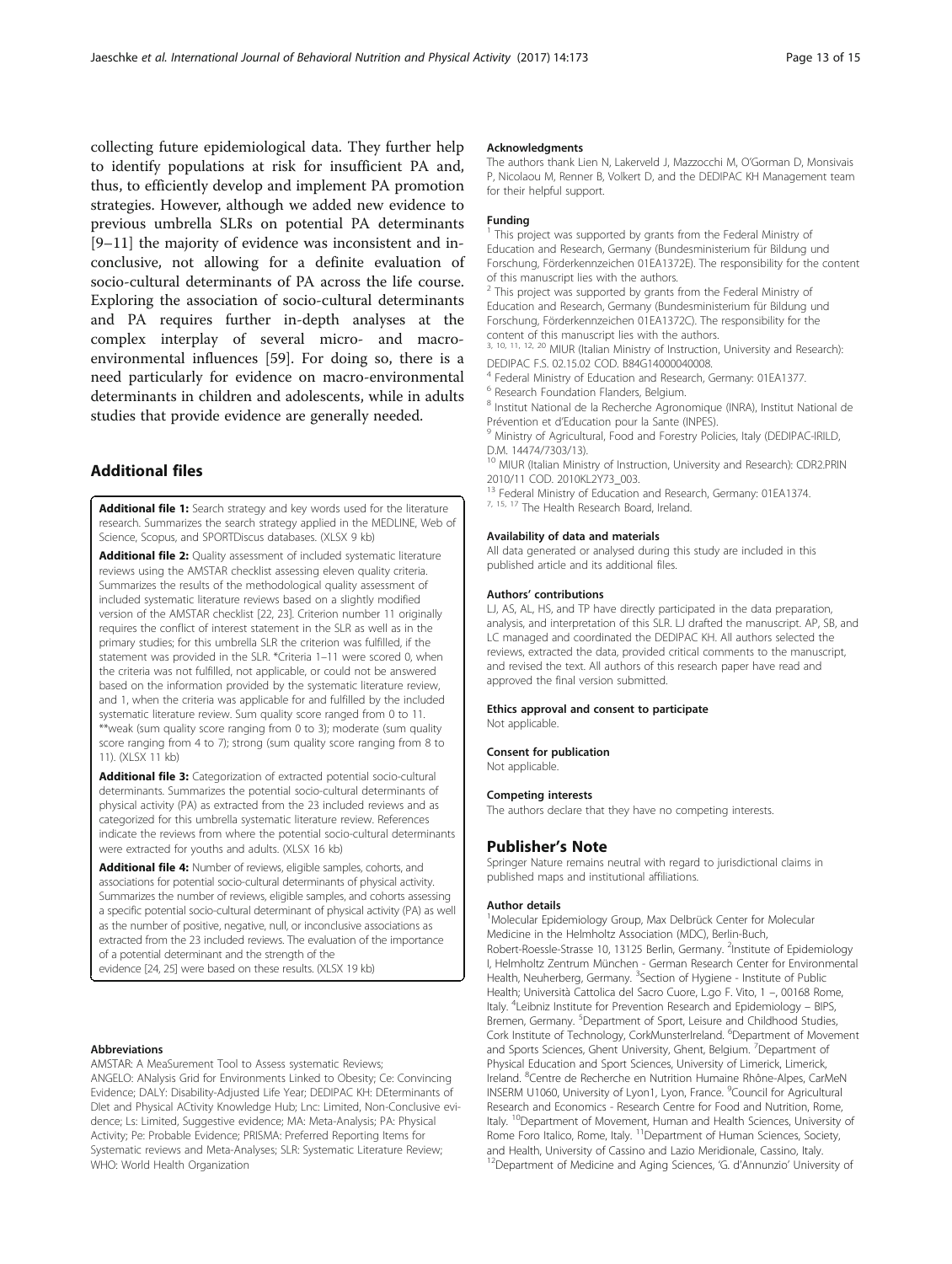<span id="page-12-0"></span>collecting future epidemiological data. They further help to identify populations at risk for insufficient PA and, thus, to efficiently develop and implement PA promotion strategies. However, although we added new evidence to previous umbrella SLRs on potential PA determinants [[9](#page-13-0)–[11\]](#page-13-0) the majority of evidence was inconsistent and inconclusive, not allowing for a definite evaluation of socio-cultural determinants of PA across the life course. Exploring the association of socio-cultural determinants and PA requires further in-depth analyses at the complex interplay of several micro- and macroenvironmental influences [\[59\]](#page-14-0). For doing so, there is a need particularly for evidence on macro-environmental determinants in children and adolescents, while in adults studies that provide evidence are generally needed.

# Additional files

[Additional file 1:](dx.doi.org/10.1186/s12966-017-0627-3) Search strategy and key words used for the literature research. Summarizes the search strategy applied in the MEDLINE, Web of Science, Scopus, and SPORTDiscus databases. (XLSX 9 kb)

[Additional file 2:](dx.doi.org/10.1186/s12966-017-0627-3) Quality assessment of included systematic literature reviews using the AMSTAR checklist assessing eleven quality criteria. Summarizes the results of the methodological quality assessment of included systematic literature reviews based on a slightly modified version of the AMSTAR checklist [[22](#page-13-0), [23\]](#page-13-0). Criterion number 11 originally requires the conflict of interest statement in the SLR as well as in the primary studies; for this umbrella SLR the criterion was fulfilled, if the statement was provided in the SLR. \*Criteria 1–11 were scored 0, when the criteria was not fulfilled, not applicable, or could not be answered based on the information provided by the systematic literature review, and 1, when the criteria was applicable for and fulfilled by the included systematic literature review. Sum quality score ranged from 0 to 11. \*\*weak (sum quality score ranging from 0 to 3); moderate (sum quality score ranging from 4 to 7); strong (sum quality score ranging from 8 to 11). (XLSX 11 kb)

[Additional file 3:](dx.doi.org/10.1186/s12966-017-0627-3) Categorization of extracted potential socio-cultural determinants. Summarizes the potential socio-cultural determinants of physical activity (PA) as extracted from the 23 included reviews and as categorized for this umbrella systematic literature review. References indicate the reviews from where the potential socio-cultural determinants were extracted for youths and adults. (XLSX 16 kb)

[Additional file 4:](dx.doi.org/10.1186/s12966-017-0627-3) Number of reviews, eligible samples, cohorts, and associations for potential socio-cultural determinants of physical activity. Summarizes the number of reviews, eligible samples, and cohorts assessing a specific potential socio-cultural determinant of physical activity (PA) as well as the number of positive, negative, null, or inconclusive associations as extracted from the 23 included reviews. The evaluation of the importance of a potential determinant and the strength of the evidence [\[24](#page-13-0), [25](#page-13-0)] were based on these results. (XLSX 19 kb)

#### Abbreviations

AMSTAR: A MeaSurement Tool to Assess systematic Reviews; ANGELO: ANalysis Grid for Environments Linked to Obesity; Ce: Convincing Evidence; DALY: Disability-Adjusted Life Year; DEDIPAC KH: DEterminants of DIet and Physical ACtivity Knowledge Hub; Lnc: Limited, Non-Conclusive evidence; Ls: Limited, Suggestive evidence; MA: Meta-Analysis; PA: Physical Activity; Pe: Probable Evidence; PRISMA: Preferred Reporting Items for Systematic reviews and Meta-Analyses; SLR: Systematic Literature Review; WHO: World Health Organization

#### Acknowledgments

The authors thank Lien N, Lakerveld J, Mazzocchi M, O'Gorman D, Monsivais P, Nicolaou M, Renner B, Volkert D, and the DEDIPAC KH Management team for their helpful support.

## Funding

 $1$  This project was supported by grants from the Federal Ministry of Education and Research, Germany (Bundesministerium für Bildung und Forschung, Förderkennzeichen 01EA1372E). The responsibility for the content of this manuscript lies with the authors.

 $2$  This project was supported by grants from the Federal Ministry of Education and Research, Germany (Bundesministerium für Bildung und Forschung, Förderkennzeichen 01EA1372C). The responsibility for the content of this manuscript lies with the authors.

3, 10, 11, 12, 20 MIUR (Italian Ministry of Instruction, University and Research): DEDIPAC F.S. 02.15.02 COD. B84G14000040008.

- <sup>4</sup> Federal Ministry of Education and Research, Germany: 01EA1377.
- <sup>6</sup> Research Foundation Flanders, Belgium.

<sup>8</sup> Institut National de la Recherche Agronomique (INRA), Institut National de Prévention et d'Education pour la Sante (INPES).<br><sup>9</sup> Ministry of Agricultural, Food and Forestry Policies, Italy (DEDIPAC-IRILD,

D.M. 14474/7303/13).

<sup>10</sup> MIUR (Italian Ministry of Instruction, University and Research): CDR2.PRIN 2010/11 COD. 2010KL2Y73\_003.

<sup>13</sup> Federal Ministry of Education and Research, Germany: 01EA1374.<br><sup>7, 15, <sup>17</sup> The Health Research Board, Ireland.</sup>

#### Availability of data and materials

All data generated or analysed during this study are included in this published article and its additional files.

#### Authors' contributions

LJ, AS, AL, HS, and TP have directly participated in the data preparation, analysis, and interpretation of this SLR. LJ drafted the manuscript. AP, SB, and LC managed and coordinated the DEDIPAC KH. All authors selected the reviews, extracted the data, provided critical comments to the manuscript, and revised the text. All authors of this research paper have read and approved the final version submitted.

#### Ethics approval and consent to participate

Not applicable.

#### Consent for publication

Not applicable.

#### Competing interests

The authors declare that they have no competing interests.

## Publisher's Note

Springer Nature remains neutral with regard to jurisdictional claims in published maps and institutional affiliations.

#### Author details

<sup>1</sup>Molecular Epidemiology Group, Max Delbrück Center for Molecular Medicine in the Helmholtz Association (MDC), Berlin-Buch, Robert-Roessle-Strasse 10, 13125 Berlin, Germany. <sup>2</sup>Institute of Epidemiology I, Helmholtz Zentrum München - German Research Center for Environmental Health, Neuherberg, Germany. <sup>3</sup>Section of Hygiene - Institute of Public Health; Università Cattolica del Sacro Cuore, L.go F. Vito, 1 –, 00168 Rome, Italy. <sup>4</sup>Leibniz Institute for Prevention Research and Epidemiology – BIPS Bremen, Germany. <sup>5</sup>Department of Sport, Leisure and Childhood Studies Cork Institute of Technology, CorkMunsterIreland. <sup>6</sup>Department of Movement and Sports Sciences, Ghent University, Ghent, Belgium. <sup>7</sup>Department of Physical Education and Sport Sciences, University of Limerick, Limerick, Ireland. <sup>8</sup>Centre de Recherche en Nutrition Humaine Rhône-Alpes, CarMeN INSERM U1060, University of Lyon1, Lyon, France. <sup>9</sup>Council for Agricultural Research and Economics - Research Centre for Food and Nutrition, Rome, Italy. <sup>10</sup>Department of Movement, Human and Health Sciences, University of Rome Foro Italico, Rome, Italy. <sup>11</sup>Department of Human Sciences, Society, and Health, University of Cassino and Lazio Meridionale, Cassino, Italy. <sup>12</sup>Department of Medicine and Aging Sciences, 'G. d'Annunzio' University of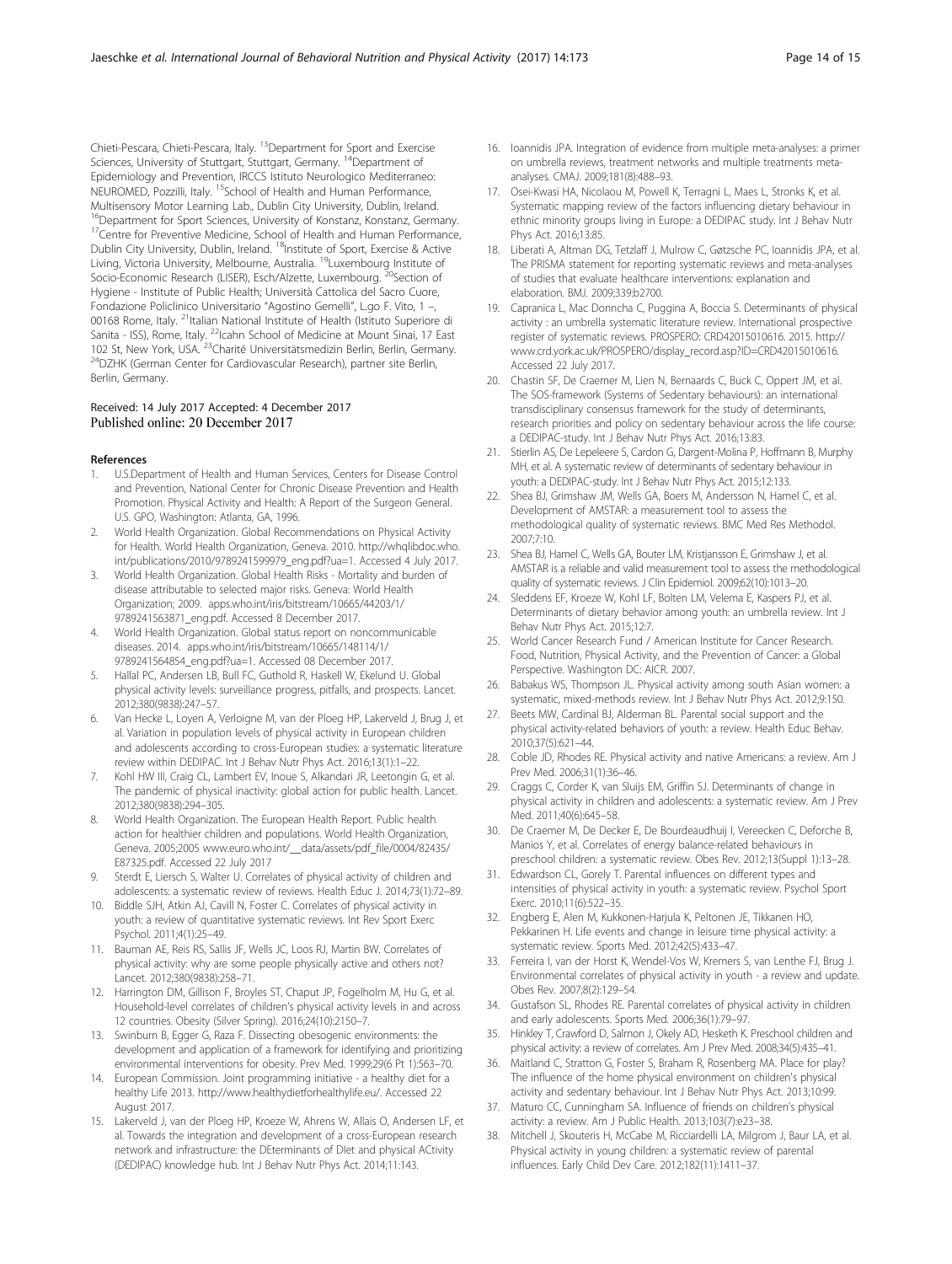<span id="page-13-0"></span>Chieti-Pescara, Chieti-Pescara, Italy. 13Department for Sport and Exercise Sciences, University of Stuttgart, Stuttgart, Germany. <sup>14</sup>Department of Epidemiology and Prevention, IRCCS Istituto Neurologico Mediterraneo: NEUROMED, Pozzilli, Italy. 15School of Health and Human Performance, Multisensory Motor Learning Lab., Dublin City University, Dublin, Ireland. <sup>16</sup>Department for Sport Sciences, University of Konstanz, Konstanz, Germany. <sup>17</sup>Centre for Preventive Medicine, School of Health and Human Performance, Dublin City University, Dublin, Ireland. <sup>18</sup>Institute of Sport, Exercise & Active Living, Victoria University, Melbourne, Australia. 19Luxembourg Institute of Socio-Economic Research (LISER), Esch/Alzette, Luxembourg. <sup>20</sup>Section of Hygiene - Institute of Public Health; Università Cattolica del Sacro Cuore, Fondazione Policlinico Universitario "Agostino Gemelli", L.go F. Vito, 1 –, 00168 Rome, Italy. <sup>21</sup>Italian National Institute of Health (Istituto Superiore di Sanita - ISS), Rome, Italy. <sup>22</sup>Icahn School of Medicine at Mount Sinai, 17 East 102 St, New York, USA. <sup>23</sup>Charité Universitätsmedizin Berlin, Berlin, Germany.<br><sup>24</sup>DZHK (German Center for Cardiovascular Research), partner site Berlin, Berlin, Germany.

## Received: 14 July 2017 Accepted: 4 December 2017 Published online: 20 December 2017

## References

- 1. U.S.Department of Health and Human Services, Centers for Disease Control and Prevention, National Center for Chronic Disease Prevention and Health Promotion. Physical Activity and Health: A Report of the Surgeon General. U.S. GPO, Washington: Atlanta, GA, 1996.
- 2. World Health Organization. Global Recommendations on Physical Activity for Health. World Health Organization, Geneva. 2010. [http://whqlibdoc.who.](http://whqlibdoc.who.int/publications/2010/9789241599979_eng.pdf?ua=1) [int/publications/2010/9789241599979\\_eng.pdf?ua=1.](http://whqlibdoc.who.int/publications/2010/9789241599979_eng.pdf?ua=1) Accessed 4 July 2017.
- 3. World Health Organization. Global Health Risks Mortality and burden of disease attributable to selected major risks. Geneva: World Health Organization; 2009. [apps.who.int/iris/bitstream/10665/44203/1/](http://apps.who.int/iris/bitstream/10665/44203/1/9789241563871_eng.pdf) [9789241563871\\_eng.pdf](http://apps.who.int/iris/bitstream/10665/44203/1/9789241563871_eng.pdf). Accessed 8 December 2017.
- 4. World Health Organization. Global status report on noncommunicable diseases. 2014. [apps.who.int/iris/bitstream/10665/148114/1/](http://apps.who.int/iris/bitstream/10665/148114/1/9789241564854_eng.pdf?ua=1) [9789241564854\\_eng.pdf?ua=1.](http://apps.who.int/iris/bitstream/10665/148114/1/9789241564854_eng.pdf?ua=1) Accessed 08 December 2017.
- 5. Hallal PC, Andersen LB, Bull FC, Guthold R, Haskell W, Ekelund U. Global physical activity levels: surveillance progress, pitfalls, and prospects. Lancet. 2012;380(9838):247–57.
- Van Hecke L, Loyen A, Verloigne M, van der Ploeg HP, Lakerveld J, Brug J, et al. Variation in population levels of physical activity in European children and adolescents according to cross-European studies: a systematic literature review within DEDIPAC. Int J Behav Nutr Phys Act. 2016;13(1):1–22.
- 7. Kohl HW III, Craig CL, Lambert EV, Inoue S, Alkandari JR, Leetongin G, et al. The pandemic of physical inactivity: global action for public health. Lancet. 2012;380(9838):294–305.
- 8. World Health Organization. The European Health Report. Public health action for healthier children and populations. World Health Organization, Geneva. 2005;2005 [www.euro.who.int/\\_\\_data/assets/pdf\\_file/0004/82435/](http://www.euro.who.int/__data/assets/pdf_file/0004/82435/E87325.pdf) [E87325.pdf.](http://www.euro.who.int/__data/assets/pdf_file/0004/82435/E87325.pdf) Accessed 22 July 2017
- 9. Sterdt E, Liersch S, Walter U. Correlates of physical activity of children and adolescents: a systematic review of reviews. Health Educ J. 2014;73(1):72–89.
- 10. Biddle SJH, Atkin AJ, Cavill N, Foster C. Correlates of physical activity in youth: a review of quantitative systematic reviews. Int Rev Sport Exerc Psychol. 2011;4(1):25–49.
- 11. Bauman AE, Reis RS, Sallis JF, Wells JC, Loos RJ, Martin BW. Correlates of physical activity: why are some people physically active and others not? Lancet. 2012;380(9838):258–71.
- 12. Harrington DM, Gillison F, Broyles ST, Chaput JP, Fogelholm M, Hu G, et al. Household-level correlates of children's physical activity levels in and across 12 countries. Obesity (Silver Spring). 2016;24(10):2150–7.
- 13. Swinburn B, Egger G, Raza F. Dissecting obesogenic environments: the development and application of a framework for identifying and prioritizing environmental interventions for obesity. Prev Med. 1999;29(6 Pt 1):563–70.
- 14. European Commission. Joint programming initiative a healthy diet for a healthy Life 2013. [http://www.healthydietforhealthylife.eu/.](http://www.healthydietforhealthylife.eu/) Accessed 22 August 2017.
- 15. Lakerveld J, van der Ploeg HP, Kroeze W, Ahrens W, Allais O, Andersen LF, et al. Towards the integration and development of a cross-European research network and infrastructure: the DEterminants of DIet and physical ACtivity (DEDIPAC) knowledge hub. Int J Behav Nutr Phys Act. 2014;11:143.
- 16. Ioannidis JPA. Integration of evidence from multiple meta-analyses: a primer on umbrella reviews, treatment networks and multiple treatments metaanalyses. CMAJ. 2009;181(8):488–93.
- 17. Osei-Kwasi HA, Nicolaou M, Powell K, Terragni L, Maes L, Stronks K, et al. Systematic mapping review of the factors influencing dietary behaviour in ethnic minority groups living in Europe: a DEDIPAC study. Int J Behav Nutr Phys Act. 2016;13:85.
- 18. Liberati A, Altman DG, Tetzlaff J, Mulrow C, Gøtzsche PC, Ioannidis JPA, et al. The PRISMA statement for reporting systematic reviews and meta-analyses of studies that evaluate healthcare interventions: explanation and elaboration. BMJ. 2009;339:b2700.
- 19. Capranica L, Mac Donncha C, Puggina A, Boccia S. Determinants of physical activity : an umbrella systematic literature review. International prospective register of systematic reviews. PROSPERO: CRD42015010616. 2015. [http://](http://www.crd.york.ac.uk/PROSPERO/display_record.asp?ID=CRD42015010616) [www.crd.york.ac.uk/PROSPERO/display\\_record.asp?ID=CRD42015010616.](http://www.crd.york.ac.uk/PROSPERO/display_record.asp?ID=CRD42015010616) Accessed 22 July 2017.
- 20. Chastin SF, De Craemer M, Lien N, Bernaards C, Buck C, Oppert JM, et al. The SOS-framework (Systems of Sedentary behaviours): an international transdisciplinary consensus framework for the study of determinants, research priorities and policy on sedentary behaviour across the life course: a DEDIPAC-study. Int J Behav Nutr Phys Act. 2016;13:83.
- 21. Stierlin AS, De Lepeleere S, Cardon G, Dargent-Molina P, Hoffmann B, Murphy MH, et al. A systematic review of determinants of sedentary behaviour in youth: a DEDIPAC-study. Int J Behav Nutr Phys Act. 2015;12:133.
- 22. Shea BJ, Grimshaw JM, Wells GA, Boers M, Andersson N, Hamel C, et al. Development of AMSTAR: a measurement tool to assess the methodological quality of systematic reviews. BMC Med Res Methodol. 2007;7:10.
- 23. Shea BJ, Hamel C, Wells GA, Bouter LM, Kristjansson E, Grimshaw J, et al. AMSTAR is a reliable and valid measurement tool to assess the methodological quality of systematic reviews. J Clin Epidemiol. 2009;62(10):1013–20.
- 24. Sleddens EF, Kroeze W, Kohl LF, Bolten LM, Velema E, Kaspers PJ, et al. Determinants of dietary behavior among youth: an umbrella review. Int J Behav Nutr Phys Act. 2015;12:7.
- 25. World Cancer Research Fund / American Institute for Cancer Research. Food, Nutrition, Physical Activity, and the Prevention of Cancer: a Global Perspective. Washington DC: AICR. 2007.
- 26. Babakus WS, Thompson JL. Physical activity among south Asian women: a systematic, mixed-methods review. Int J Behav Nutr Phys Act. 2012;9:150.
- 27. Beets MW, Cardinal BJ, Alderman BL. Parental social support and the physical activity-related behaviors of youth: a review. Health Educ Behav. 2010;37(5):621–44.
- 28. Coble JD, Rhodes RE. Physical activity and native Americans: a review. Am J Prev Med. 2006;31(1):36–46.
- 29. Craggs C, Corder K, van Sluijs EM, Griffin SJ. Determinants of change in physical activity in children and adolescents: a systematic review. Am J Prev Med. 2011;40(6):645–58.
- 30. De Craemer M, De Decker E, De Bourdeaudhuij I, Vereecken C, Deforche B, Manios Y, et al. Correlates of energy balance-related behaviours in preschool children: a systematic review. Obes Rev. 2012;13(Suppl 1):13–28.
- 31. Edwardson CL, Gorely T. Parental influences on different types and intensities of physical activity in youth: a systematic review. Psychol Sport Exerc. 2010;11(6):522–35.
- 32. Engberg E, Alen M, Kukkonen-Harjula K, Peltonen JE, Tikkanen HO, Pekkarinen H. Life events and change in leisure time physical activity: a systematic review. Sports Med. 2012;42(5):433–47.
- 33. Ferreira I, van der Horst K, Wendel-Vos W, Kremers S, van Lenthe FJ, Brug J. Environmental correlates of physical activity in youth - a review and update. Obes Rev. 2007;8(2):129–54.
- 34. Gustafson SL, Rhodes RE. Parental correlates of physical activity in children and early adolescents. Sports Med. 2006;36(1):79–97.
- 35. Hinkley T, Crawford D, Salmon J, Okely AD, Hesketh K. Preschool children and physical activity: a review of correlates. Am J Prev Med. 2008;34(5):435–41.
- 36. Maitland C, Stratton G, Foster S, Braham R, Rosenberg MA. Place for play? The influence of the home physical environment on children's physical activity and sedentary behaviour. Int J Behav Nutr Phys Act. 2013;10:99.
- 37. Maturo CC, Cunningham SA. Influence of friends on children's physical activity: a review. Am J Public Health. 2013;103(7):e23–38.
- 38. Mitchell J, Skouteris H, McCabe M, Ricciardelli LA, Milgrom J, Baur LA, et al. Physical activity in young children: a systematic review of parental influences. Early Child Dev Care. 2012;182(11):1411–37.